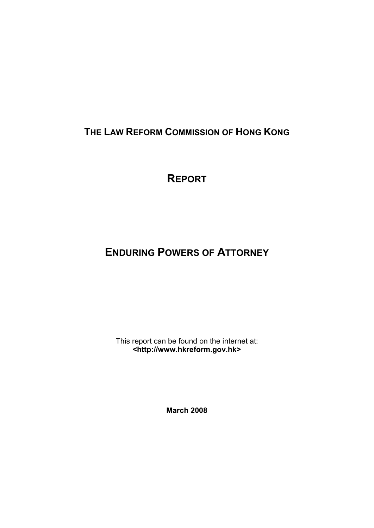# **THE LAW REFORM COMMISSION OF HONG KONG**

# **REPORT**

# **ENDURING POWERS OF ATTORNEY**

This report can be found on the internet at: **<http://www.hkreform.gov.hk>** 

**March 2008**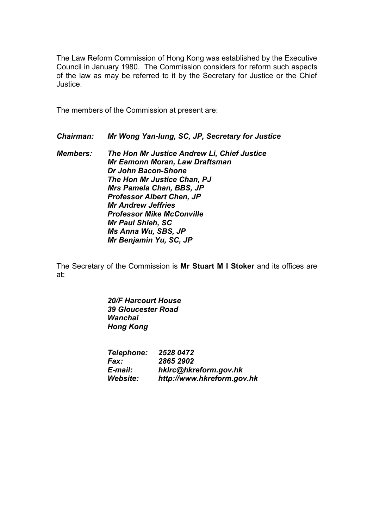The Law Reform Commission of Hong Kong was established by the Executive Council in January 1980. The Commission considers for reform such aspects of the law as may be referred to it by the Secretary for Justice or the Chief Justice.

The members of the Commission at present are:

*Chairman: Mr Wong Yan-lung, SC, JP, Secretary for Justice* 

*Members: The Hon Mr Justice Andrew Li, Chief Justice Mr Eamonn Moran, Law Draftsman Dr John Bacon-Shone The Hon Mr Justice Chan, PJ Mrs Pamela Chan, BBS, JP Professor Albert Chen, JP Mr Andrew Jeffries Professor Mike McConville Mr Paul Shieh, SC Ms Anna Wu, SBS, JP Mr Benjamin Yu, SC, JP* 

The Secretary of the Commission is **Mr Stuart M I Stoker** and its offices are at:

> *20/F Harcourt House 39 Gloucester Road Wanchai Hong Kong*

 *Telephone: 2528 0472 Fax: 2865 2902 E-mail: hklrc@hkreform.gov.hk Website: http://www.hkreform.gov.hk*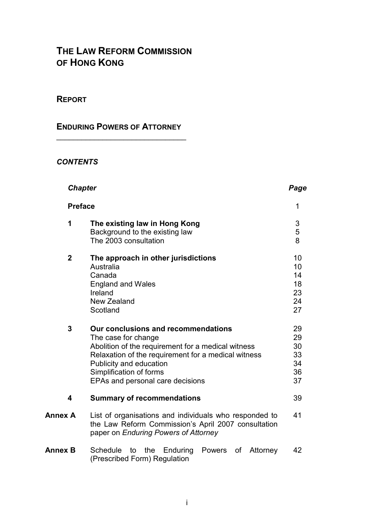# **THE LAW REFORM COMMISSION OF HONG KONG**

### **REPORT**

# **ENDURING POWERS OF ATTORNEY** \_\_\_\_\_\_\_\_\_\_\_\_\_\_\_\_\_\_\_\_\_\_\_\_\_\_\_\_\_\_\_

# *CONTENTS*

|                | <b>Chapter</b>                                                                                                                                                                                                                                                    | Page                                   |
|----------------|-------------------------------------------------------------------------------------------------------------------------------------------------------------------------------------------------------------------------------------------------------------------|----------------------------------------|
|                | <b>Preface</b>                                                                                                                                                                                                                                                    | 1                                      |
| 1              | The existing law in Hong Kong<br>Background to the existing law<br>The 2003 consultation                                                                                                                                                                          | 3<br>5<br>8                            |
| $\mathbf{2}$   | The approach in other jurisdictions<br>Australia<br>Canada<br><b>England and Wales</b><br>Ireland<br>New Zealand<br>Scotland                                                                                                                                      | 10<br>10<br>14<br>18<br>23<br>24<br>27 |
| 3              | Our conclusions and recommendations<br>The case for change<br>Abolition of the requirement for a medical witness<br>Relaxation of the requirement for a medical witness<br>Publicity and education<br>Simplification of forms<br>EPAs and personal care decisions | 29<br>29<br>30<br>33<br>34<br>36<br>37 |
| 4              | <b>Summary of recommendations</b>                                                                                                                                                                                                                                 | 39                                     |
| Annex A        | List of organisations and individuals who responded to<br>the Law Reform Commission's April 2007 consultation<br>paper on Enduring Powers of Attorney                                                                                                             | 41                                     |
| <b>Annex B</b> | Schedule<br>the<br>Enduring<br><b>Powers</b><br>0f<br>Attorney<br>to<br>(Prescribed Form) Regulation                                                                                                                                                              | 42                                     |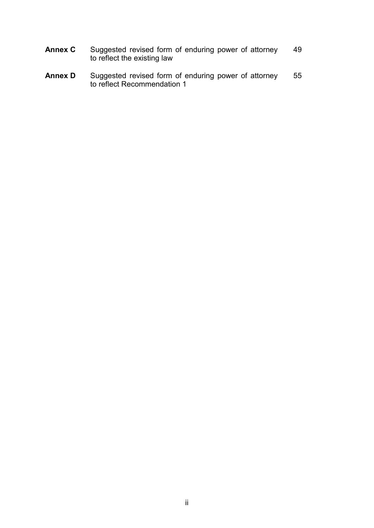- **Annex C** Suggested revised form of enduring power of attorney to reflect the existing law 49
- **Annex D** Suggested revised form of enduring power of attorney to reflect Recommendation 1 55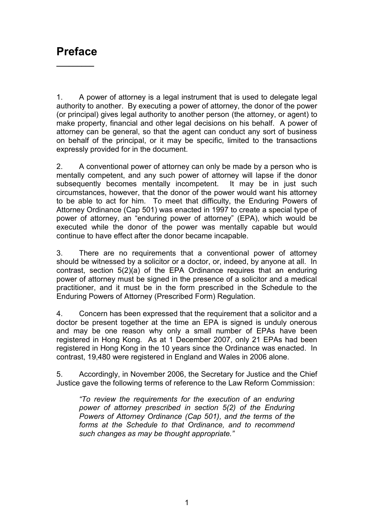**\_\_\_\_\_\_\_\_\_** 

1. A power of attorney is a legal instrument that is used to delegate legal authority to another. By executing a power of attorney, the donor of the power (or principal) gives legal authority to another person (the attorney, or agent) to make property, financial and other legal decisions on his behalf. A power of attorney can be general, so that the agent can conduct any sort of business on behalf of the principal, or it may be specific, limited to the transactions expressly provided for in the document.

2. A conventional power of attorney can only be made by a person who is mentally competent, and any such power of attorney will lapse if the donor subsequently becomes mentally incompetent. It may be in just such circumstances, however, that the donor of the power would want his attorney to be able to act for him. To meet that difficulty, the Enduring Powers of Attorney Ordinance (Cap 501) was enacted in 1997 to create a special type of power of attorney, an "enduring power of attorney" (EPA), which would be executed while the donor of the power was mentally capable but would continue to have effect after the donor became incapable.

3. There are no requirements that a conventional power of attorney should be witnessed by a solicitor or a doctor, or, indeed, by anyone at all. In contrast, section 5(2)(a) of the EPA Ordinance requires that an enduring power of attorney must be signed in the presence of a solicitor and a medical practitioner, and it must be in the form prescribed in the Schedule to the Enduring Powers of Attorney (Prescribed Form) Regulation.

4. Concern has been expressed that the requirement that a solicitor and a doctor be present together at the time an EPA is signed is unduly onerous and may be one reason why only a small number of EPAs have been registered in Hong Kong. As at 1 December 2007, only 21 EPAs had been registered in Hong Kong in the 10 years since the Ordinance was enacted. In contrast, 19,480 were registered in England and Wales in 2006 alone.

5. Accordingly, in November 2006, the Secretary for Justice and the Chief Justice gave the following terms of reference to the Law Reform Commission:

*"To review the requirements for the execution of an enduring power of attorney prescribed in section 5(2) of the Enduring Powers of Attorney Ordinance (Cap 501), and the terms of the forms at the Schedule to that Ordinance, and to recommend such changes as may be thought appropriate."*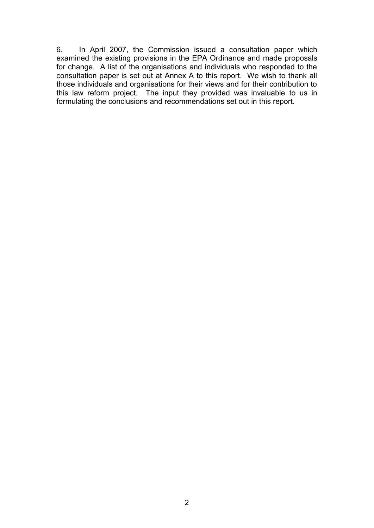6. In April 2007, the Commission issued a consultation paper which examined the existing provisions in the EPA Ordinance and made proposals for change. A list of the organisations and individuals who responded to the consultation paper is set out at Annex A to this report. We wish to thank all those individuals and organisations for their views and for their contribution to this law reform project. The input they provided was invaluable to us in formulating the conclusions and recommendations set out in this report.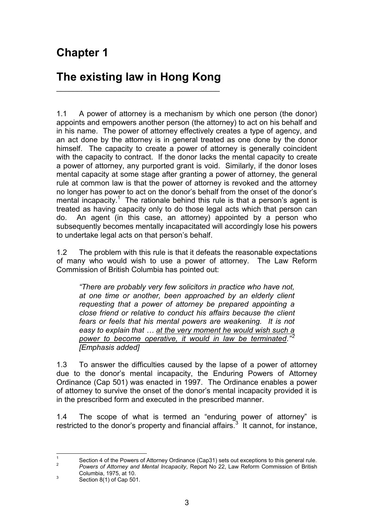# **The existing law in Hong Kong**  \_\_\_\_\_\_\_\_\_\_\_\_\_\_\_\_\_\_\_\_\_\_\_\_\_\_\_\_\_\_\_\_\_\_\_\_\_\_\_

1.1 A power of attorney is a mechanism by which one person (the donor) appoints and empowers another person (the attorney) to act on his behalf and in his name. The power of attorney effectively creates a type of agency, and an act done by the attorney is in general treated as one done by the donor himself. The capacity to create a power of attorney is generally coincident with the capacity to contract. If the donor lacks the mental capacity to create a power of attorney, any purported grant is void. Similarly, if the donor loses mental capacity at some stage after granting a power of attorney, the general rule at common law is that the power of attorney is revoked and the attorney no longer has power to act on the donor's behalf from the onset of the donor's mental incapacity.<sup>1</sup> The rationale behind this rule is that a person's agent is treated as having capacity only to do those legal acts which that person can do. An agent (in this case, an attorney) appointed by a person who subsequently becomes mentally incapacitated will accordingly lose his powers to undertake legal acts on that person's behalf.

1.2 The problem with this rule is that it defeats the reasonable expectations of many who would wish to use a power of attorney. The Law Reform Commission of British Columbia has pointed out:

*"There are probably very few solicitors in practice who have not, at one time or another, been approached by an elderly client requesting that a power of attorney be prepared appointing a close friend or relative to conduct his affairs because the client fears or feels that his mental powers are weakening. It is not easy to explain that … at the very moment he would wish such a power to become operative, it would in law be terminated."<sup>2</sup> [Emphasis added]* 

1.3 To answer the difficulties caused by the lapse of a power of attorney due to the donor's mental incapacity, the Enduring Powers of Attorney Ordinance (Cap 501) was enacted in 1997. The Ordinance enables a power of attorney to survive the onset of the donor's mental incapacity provided it is in the prescribed form and executed in the prescribed manner.

1.4 The scope of what is termed an "enduring power of attorney" is restricted to the donor's property and financial affairs.<sup>3</sup> It cannot, for instance,

-<br>1 Section 4 of the Powers of Attorney Ordinance (Cap31) sets out exceptions to this general rule.

2 *Powers of Attorney and Mental Incapacity*, Report No 22, Law Reform Commission of British Columbia, 1975, at 10. 3

Section 8(1) of Cap 501.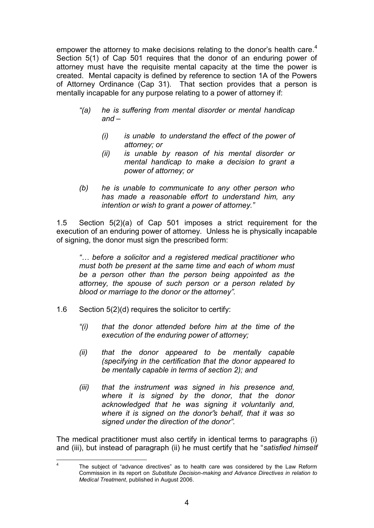empower the attorney to make decisions relating to the donor's health care.<sup>4</sup> Section 5(1) of Cap 501 requires that the donor of an enduring power of attorney must have the requisite mental capacity at the time the power is created. Mental capacity is defined by reference to section 1A of the Powers of Attorney Ordinance (Cap 31). That section provides that a person is mentally incapable for any purpose relating to a power of attorney if:

- *"(a) he is suffering from mental disorder or mental handicap and –* 
	- *(i) is unable to understand the effect of the power of attorney; or*
	- *(ii) is unable by reason of his mental disorder or mental handicap to make a decision to grant a power of attorney; or*
- *(b) he is unable to communicate to any other person who has made a reasonable effort to understand him, any intention or wish to grant a power of attorney."*

1.5 Section 5(2)(a) of Cap 501 imposes a strict requirement for the execution of an enduring power of attorney. Unless he is physically incapable of signing, the donor must sign the prescribed form:

*"… before a solicitor and a registered medical practitioner who must both be present at the same time and each of whom must be a person other than the person being appointed as the attorney, the spouse of such person or a person related by blood or marriage to the donor or the attorney".* 

- 1.6 Section 5(2)(d) requires the solicitor to certify:
	- *"(i) that the donor attended before him at the time of the execution of the enduring power of attorney;*
	- *(ii) that the donor appeared to be mentally capable (specifying in the certification that the donor appeared to be mentally capable in terms of section 2); and*
	- *(iii) that the instrument was signed in his presence and, where it is signed by the donor, that the donor acknowledged that he was signing it voluntarily and, where it is signed on the donor"s behalf, that it was so signed under the direction of the donor".*

The medical practitioner must also certify in identical terms to paragraphs (i) and (iii), but instead of paragraph (ii) he must certify that he "*satisfied himself* 

<sup>-&</sup>lt;br>4 The subject of "advance directives" as to health care was considered by the Law Reform Commission in its report on *Substitute Decision-making and Advance Directives in relation to Medical Treatment*, published in August 2006.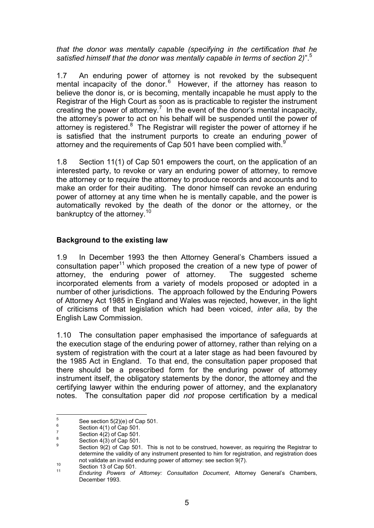*that the donor was mentally capable (specifying in the certification that he satisfied himself that the donor was mentally capable in terms of section 2)*".<sup>5</sup>

1.7 An enduring power of attorney is not revoked by the subsequent mental incapacity of the donor.<sup>6</sup> However, if the attorney has reason to believe the donor is, or is becoming, mentally incapable he must apply to the Registrar of the High Court as soon as is practicable to register the instrument creating the power of attorney.<sup>7</sup> In the event of the donor's mental incapacity, the attorney's power to act on his behalf will be suspended until the power of attorney is registered.<sup>8</sup> The Registrar will register the power of attorney if he is satisfied that the instrument purports to create an enduring power of attorney and the requirements of Cap 501 have been complied with.<sup>9</sup>

1.8 Section 11(1) of Cap 501 empowers the court, on the application of an interested party, to revoke or vary an enduring power of attorney, to remove the attorney or to require the attorney to produce records and accounts and to make an order for their auditing. The donor himself can revoke an enduring power of attorney at any time when he is mentally capable, and the power is automatically revoked by the death of the donor or the attorney, or the bankruptcy of the attorney.<sup>10</sup>

### **Background to the existing law**

1.9 In December 1993 the then Attorney General's Chambers issued a consultation paper<sup>11</sup> which proposed the creation of a new type of power of attorney, the enduring power of attorney. The suggested scheme incorporated elements from a variety of models proposed or adopted in a number of other jurisdictions. The approach followed by the Enduring Powers of Attorney Act 1985 in England and Wales was rejected, however, in the light of criticisms of that legislation which had been voiced, *inter alia*, by the English Law Commission.

1.10 The consultation paper emphasised the importance of safeguards at the execution stage of the enduring power of attorney, rather than relying on a system of registration with the court at a later stage as had been favoured by the 1985 Act in England. To that end, the consultation paper proposed that there should be a prescribed form for the enduring power of attorney instrument itself, the obligatory statements by the donor, the attorney and the certifying lawyer within the enduring power of attorney, and the explanatory notes. The consultation paper did *not* propose certification by a medical

<sup>—&</sup>lt;br>5 See section 5(2)(e) of Cap 501. 6

Section 4(1) of Cap 501. 7

Section 4(2) of Cap 501. 8

Section 4(3) of Cap 501. 9

Section 9(2) of Cap 501. This is not to be construed, however, as requiring the Registrar to determine the validity of any instrument presented to him for registration, and registration does not validate an invalid enduring power of attorney: see section 9(7).

<sup>&</sup>lt;sup>10</sup> Section 13 of Cap 501. 11

*Enduring Powers of Attorney: Consultation Document*, Attorney General's Chambers, December 1993.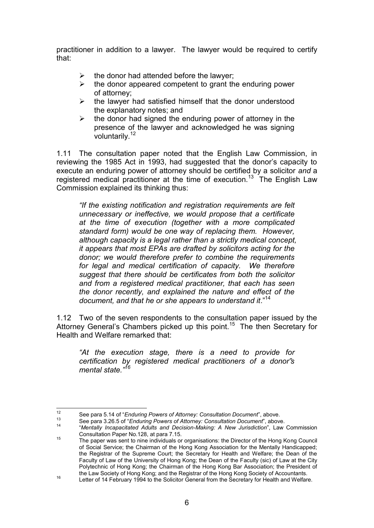practitioner in addition to a lawyer. The lawyer would be required to certify that:

- $\triangleright$  the donor had attended before the lawyer;
- $\triangleright$  the donor appeared competent to grant the enduring power of attorney;
- $\triangleright$  the lawyer had satisfied himself that the donor understood the explanatory notes; and
- $\triangleright$  the donor had signed the enduring power of attorney in the presence of the lawyer and acknowledged he was signing voluntarily.<sup>12</sup>

1.11 The consultation paper noted that the English Law Commission, in reviewing the 1985 Act in 1993, had suggested that the donor's capacity to execute an enduring power of attorney should be certified by a solicitor *and* a registered medical practitioner at the time of execution.<sup>13</sup> The English Law Commission explained its thinking thus:

*"If the existing notification and registration requirements are felt unnecessary or ineffective, we would propose that a certificate at the time of execution (together with a more complicated standard form) would be one way of replacing them. However, although capacity is a legal rather than a strictly medical concept, it appears that most EPAs are drafted by solicitors acting for the donor; we would therefore prefer to combine the requirements for legal and medical certification of capacity. We therefore suggest that there should be certificates from both the solicitor and from a registered medical practitioner, that each has seen the donor recently, and explained the nature and effect of the document, and that he or she appears to understand it*."<sup>14</sup>

1.12 Two of the seven respondents to the consultation paper issued by the Attorney General's Chambers picked up this point.<sup>15</sup> The then Secretary for Health and Welfare remarked that:

*"At the execution stage, there is a need to provide for certification by registered medical practitioners of a donor"s mental state."<sup>16</sup>*

16 Letter of 14 February 1994 to the Solicitor General from the Secretary for Health and Welfare.

 $12$ <sup>12</sup> See para 5.14 of "*Enduring Powers of Attorney: Consultation Document*", above.

<sup>13</sup> See para 3.26.5 of "*Enduring Powers of Attorney: Consultation Document*", above.

<sup>14</sup> "*Mentally Incapacitated Adults and Decision-Making: A New Jurisdiction*", Law Commission Consultation Paper No.128, at para 7.15.

<sup>&</sup>lt;sup>15</sup> The paper was sent to nine individuals or organisations: the Director of the Hong Kong Council of Social Service; the Chairman of the Hong Kong Association for the Mentally Handicapped; the Registrar of the Supreme Court; the Secretary for Health and Welfare; the Dean of the Faculty of Law of the University of Hong Kong; the Dean of the Faculty (sic) of Law at the City Polytechnic of Hong Kong; the Chairman of the Hong Kong Bar Association; the President of the Law Society of Hong Kong; and the Registrar of the Hong Kong Society of Accountants.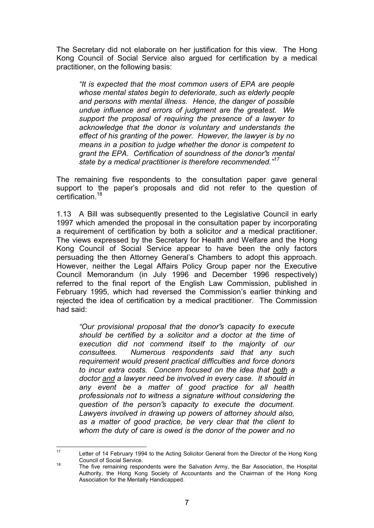The Secretary did not elaborate on her justification for this view. The Hong Kong Council of Social Service also argued for certification by a medical practitioner, on the following basis:

*"It is expected that the most common users of EPA are people whose mental states begin to deteriorate, such as elderly people and persons with mental illness. Hence, the danger of possible undue influence and errors of judgment are the greatest. We support the proposal of requiring the presence of a lawyer to acknowledge that the donor is voluntary and understands the effect of his granting of the power. However, the lawyer is by no means in a position to judge whether the donor is competent to grant the EPA. Certification of soundness of the donor"s mental state by a medical practitioner is therefore recommended."<sup>17</sup>*

The remaining five respondents to the consultation paper gave general support to the paper's proposals and did not refer to the question of certification.<sup>18</sup>

1.13 A Bill was subsequently presented to the Legislative Council in early 1997 which amended the proposal in the consultation paper by incorporating a requirement of certification by both a solicitor *and* a medical practitioner. The views expressed by the Secretary for Health and Welfare and the Hong Kong Council of Social Service appear to have been the only factors persuading the then Attorney General's Chambers to adopt this approach. However, neither the Legal Affairs Policy Group paper nor the Executive Council Memorandum (in July 1996 and December 1996 respectively) referred to the final report of the English Law Commission, published in February 1995, which had reversed the Commission's earlier thinking and rejected the idea of certification by a medical practitioner. The Commission had said:

*"Our provisional proposal that the donor"s capacity to execute should be certified by a solicitor and a doctor at the time of execution did not commend itself to the majority of our consultees. Numerous respondents said that any such requirement would present practical difficulties and force donors to incur extra costs. Concern focused on the idea that both a doctor and a lawyer need be involved in every case. It should in any event be a matter of good practice for all health professionals not to witness a signature without considering the question of the person"s capacity to execute the document. Lawyers involved in drawing up powers of attorney should also, as a matter of good practice, be very clear that the client to whom the duty of care is owed is the donor of the power and no* 

 $17$ Letter of 14 February 1994 to the Acting Solicitor General from the Director of the Hong Kong Council of Social Service.

<sup>&</sup>lt;sup>18</sup> The five remaining respondents were the Salvation Army, the Bar Association, the Hospital Authority, the Hong Kong Society of Accountants and the Chairman of the Hong Kong Association for the Mentally Handicapped.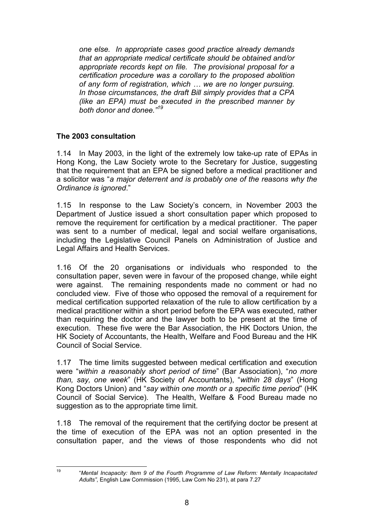*one else. In appropriate cases good practice already demands that an appropriate medical certificate should be obtained and/or appropriate records kept on file. The provisional proposal for a certification procedure was a corollary to the proposed abolition of any form of registration, which … we are no longer pursuing. In those circumstances, the draft Bill simply provides that a CPA (like an EPA) must be executed in the prescribed manner by both donor and donee."<sup>19</sup>*

# **The 2003 consultation**

1.14 In May 2003, in the light of the extremely low take-up rate of EPAs in Hong Kong, the Law Society wrote to the Secretary for Justice, suggesting that the requirement that an EPA be signed before a medical practitioner and a solicitor was "*a major deterrent and is probably one of the reasons why the Ordinance is ignored*."

1.15 In response to the Law Society's concern, in November 2003 the Department of Justice issued a short consultation paper which proposed to remove the requirement for certification by a medical practitioner. The paper was sent to a number of medical, legal and social welfare organisations, including the Legislative Council Panels on Administration of Justice and Legal Affairs and Health Services.

1.16 Of the 20 organisations or individuals who responded to the consultation paper, seven were in favour of the proposed change, while eight were against. The remaining respondents made no comment or had no concluded view. Five of those who opposed the removal of a requirement for medical certification supported relaxation of the rule to allow certification by a medical practitioner within a short period before the EPA was executed, rather than requiring the doctor and the lawyer both to be present at the time of execution. These five were the Bar Association, the HK Doctors Union, the HK Society of Accountants, the Health, Welfare and Food Bureau and the HK Council of Social Service.

1.17 The time limits suggested between medical certification and execution were "*within a reasonably short period of time*" (Bar Association), "*no more than, say, one week*" (HK Society of Accountants), "*within 28 days*" (Hong Kong Doctors Union) and "*say within one month or a specific time period*" (HK Council of Social Service). The Health, Welfare & Food Bureau made no suggestion as to the appropriate time limit.

1.18 The removal of the requirement that the certifying doctor be present at the time of execution of the EPA was not an option presented in the consultation paper, and the views of those respondents who did not

19

<sup>19</sup> "*Mental Incapacity: Item 9 of the Fourth Programme of Law Reform: Mentally Incapacitated Adults"*, English Law Commission (1995, Law Com No 231), at para 7.27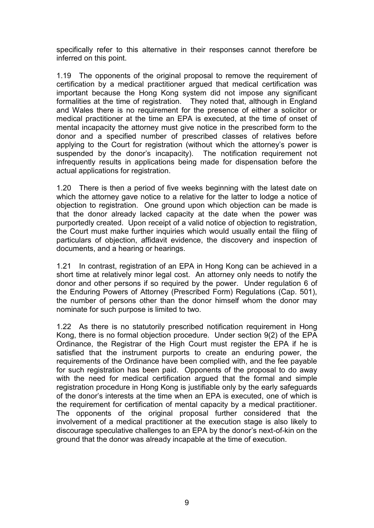specifically refer to this alternative in their responses cannot therefore be inferred on this point.

1.19 The opponents of the original proposal to remove the requirement of certification by a medical practitioner argued that medical certification was important because the Hong Kong system did not impose any significant formalities at the time of registration. They noted that, although in England and Wales there is no requirement for the presence of either a solicitor or medical practitioner at the time an EPA is executed, at the time of onset of mental incapacity the attorney must give notice in the prescribed form to the donor and a specified number of prescribed classes of relatives before applying to the Court for registration (without which the attorney's power is suspended by the donor's incapacity). The notification requirement not infrequently results in applications being made for dispensation before the actual applications for registration.

1.20 There is then a period of five weeks beginning with the latest date on which the attorney gave notice to a relative for the latter to lodge a notice of objection to registration. One ground upon which objection can be made is that the donor already lacked capacity at the date when the power was purportedly created. Upon receipt of a valid notice of objection to registration, the Court must make further inquiries which would usually entail the filing of particulars of objection, affidavit evidence, the discovery and inspection of documents, and a hearing or hearings.

1.21 In contrast, registration of an EPA in Hong Kong can be achieved in a short time at relatively minor legal cost. An attorney only needs to notify the donor and other persons if so required by the power. Under regulation 6 of the Enduring Powers of Attorney (Prescribed Form) Regulations (Cap. 501), the number of persons other than the donor himself whom the donor may nominate for such purpose is limited to two.

1.22 As there is no statutorily prescribed notification requirement in Hong Kong, there is no formal objection procedure. Under section 9(2) of the EPA Ordinance, the Registrar of the High Court must register the EPA if he is satisfied that the instrument purports to create an enduring power, the requirements of the Ordinance have been complied with, and the fee payable for such registration has been paid. Opponents of the proposal to do away with the need for medical certification argued that the formal and simple registration procedure in Hong Kong is justifiable only by the early safeguards of the donor's interests at the time when an EPA is executed, one of which is the requirement for certification of mental capacity by a medical practitioner. The opponents of the original proposal further considered that the involvement of a medical practitioner at the execution stage is also likely to discourage speculative challenges to an EPA by the donor's next-of-kin on the ground that the donor was already incapable at the time of execution.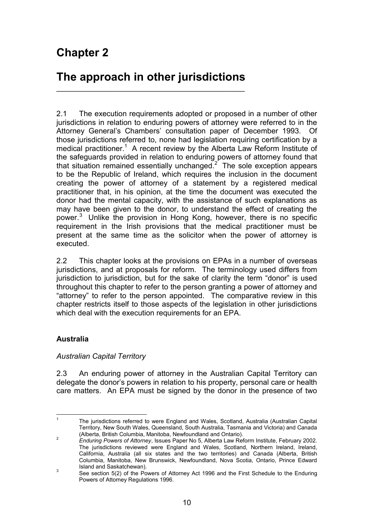# **The approach in other jurisdictions**  \_\_\_\_\_\_\_\_\_\_\_\_\_\_\_\_\_\_\_\_\_\_\_\_\_\_\_\_\_\_\_\_\_\_\_\_\_\_\_\_\_\_\_\_\_

2.1 The execution requirements adopted or proposed in a number of other jurisdictions in relation to enduring powers of attorney were referred to in the Attorney General's Chambers' consultation paper of December 1993. Of those jurisdictions referred to, none had legislation requiring certification by a medical practitioner.<sup>1</sup> A recent review by the Alberta Law Reform Institute of the safeguards provided in relation to enduring powers of attorney found that that situation remained essentially unchanged. $2^{\degree}$  The sole exception appears to be the Republic of Ireland, which requires the inclusion in the document creating the power of attorney of a statement by a registered medical practitioner that, in his opinion, at the time the document was executed the donor had the mental capacity, with the assistance of such explanations as may have been given to the donor, to understand the effect of creating the power.<sup>3</sup> Unlike the provision in Hong Kong, however, there is no specific requirement in the Irish provisions that the medical practitioner must be present at the same time as the solicitor when the power of attorney is executed.

2.2 This chapter looks at the provisions on EPAs in a number of overseas jurisdictions, and at proposals for reform. The terminology used differs from jurisdiction to jurisdiction, but for the sake of clarity the term "donor" is used throughout this chapter to refer to the person granting a power of attorney and "attorney" to refer to the person appointed. The comparative review in this chapter restricts itself to those aspects of the legislation in other jurisdictions which deal with the execution requirements for an EPA.

# **Australia**

# *Australian Capital Territory*

2.3 An enduring power of attorney in the Australian Capital Territory can delegate the donor's powers in relation to his property, personal care or health care matters. An EPA must be signed by the donor in the presence of two

 $\frac{1}{1}$  The jurisdictions referred to were England and Wales, Scotland, Australia (Australian Capital Territory, New South Wales, Queensland, South Australia, Tasmania and Victoria) and Canada (Alberta, British Columbia, Manitoba, Newfoundland and Ontario).

<sup>2</sup> *Enduring Powers of Attorney*, Issues Paper No 5, Alberta Law Reform Institute, February 2002. The jurisdictions reviewed were England and Wales, Scotland, Northern Ireland, Ireland, California, Australia (all six states and the two territories) and Canada (Alberta, British Columbia, Manitoba, New Brunswick, Newfoundland, Nova Scotia, Ontario, Prince Edward Island and Saskatchewan).

<sup>3</sup> See section 5(2) of the Powers of Attorney Act 1996 and the First Schedule to the Enduring Powers of Attorney Regulations 1996.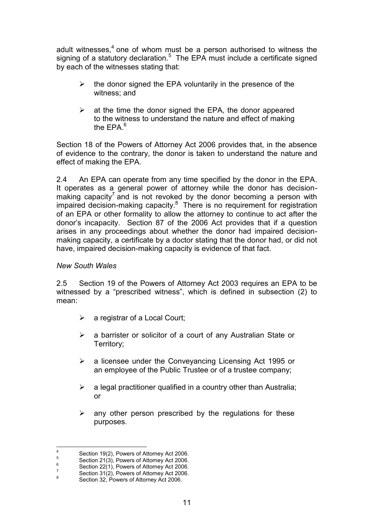adult witnesses, $4$  one of whom must be a person authorised to witness the signing of a statutory declaration. $5$  The EPA must include a certificate signed by each of the witnesses stating that:

- $\triangleright$  the donor signed the EPA voluntarily in the presence of the witness; and
- $\triangleright$  at the time the donor signed the EPA, the donor appeared to the witness to understand the nature and effect of making the EPA.<sup>6</sup>

Section 18 of the Powers of Attorney Act 2006 provides that, in the absence of evidence to the contrary, the donor is taken to understand the nature and effect of making the EPA.

2.4 An EPA can operate from any time specified by the donor in the EPA. It operates as a general power of attorney while the donor has decisionmaking capacity<sup>7</sup> and is not revoked by the donor becoming a person with impaired decision-making capacity.<sup>8</sup> There is no requirement for registration of an EPA or other formality to allow the attorney to continue to act after the donor's incapacity. Section 87 of the 2006 Act provides that if a question arises in any proceedings about whether the donor had impaired decisionmaking capacity, a certificate by a doctor stating that the donor had, or did not have, impaired decision-making capacity is evidence of that fact.

#### *New South Wales*

2.5 Section 19 of the Powers of Attorney Act 2003 requires an EPA to be witnessed by a "prescribed witness", which is defined in subsection (2) to mean:

- $\triangleright$  a registrar of a Local Court;
- $\triangleright$  a barrister or solicitor of a court of any Australian State or Territory;
- $\geq$  a licensee under the Conveyancing Licensing Act 1995 or an employee of the Public Trustee or of a trustee company;
- $\triangleright$  a legal practitioner qualified in a country other than Australia; or
- $\triangleright$  any other person prescribed by the regulations for these purposes.

<sup>-&</sup>lt;br>4 Section 19(2), Powers of Attorney Act 2006. 5

Section 21(3), Powers of Attorney Act 2006. 6

Section 22(1), Powers of Attorney Act 2006. 7

Section 31(2), Powers of Attorney Act 2006. 8

Section 32, Powers of Attorney Act 2006.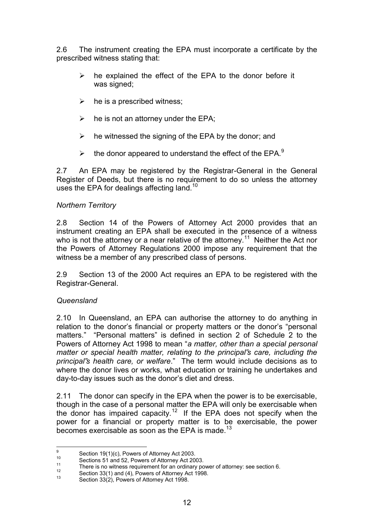2.6 The instrument creating the EPA must incorporate a certificate by the prescribed witness stating that:

- $\triangleright$  he explained the effect of the EPA to the donor before it was signed;
- $\triangleright$  he is a prescribed witness:
- $\triangleright$  he is not an attorney under the EPA;
- $\triangleright$  he witnessed the signing of the EPA by the donor; and
- $\blacktriangleright$  the donor appeared to understand the effect of the EPA.<sup>9</sup>

2.7 An EPA may be registered by the Registrar-General in the General Register of Deeds, but there is no requirement to do so unless the attorney uses the EPA for dealings affecting land.<sup>10</sup>

### *Northern Territory*

2.8 Section 14 of the Powers of Attorney Act 2000 provides that an instrument creating an EPA shall be executed in the presence of a witness who is not the attorney or a near relative of the attorney.<sup>11</sup> Neither the Act nor the Powers of Attorney Regulations 2000 impose any requirement that the witness be a member of any prescribed class of persons.

2.9 Section 13 of the 2000 Act requires an EPA to be registered with the Registrar-General.

# *Queensland*

2.10 In Queensland, an EPA can authorise the attorney to do anything in relation to the donor's financial or property matters or the donor's "personal matters." "Personal matters" is defined in section 2 of Schedule 2 to the Powers of Attorney Act 1998 to mean "*a matter, other than a special personal matter or special health matter, relating to the principal"s care, including the principal"s health care, or welfare*." The term would include decisions as to where the donor lives or works, what education or training he undertakes and day-to-day issues such as the donor's diet and dress.

2.11 The donor can specify in the EPA when the power is to be exercisable, though in the case of a personal matter the EPA will only be exercisable when the donor has impaired capacity.<sup>12</sup> If the EPA does not specify when the power for a financial or property matter is to be exercisable, the power becomes exercisable as soon as the EPA is made.<sup>13</sup>

<sup>-&</sup>lt;br>9  $\frac{9}{10}$  Section 19(1)(c), Powers of Attorney Act 2003.

<sup>&</sup>lt;sup>10</sup> Sections 51 and 52, Powers of Attorney Act 2003.

<sup>&</sup>lt;sup>11</sup> There is no witness requirement for an ordinary power of attorney: see section 6.<br><sup>12</sup> Castian 2004) and (4) Devenis of Attaracy Ast 4000.

<sup>&</sup>lt;sup>12</sup> Section 33(1) and (4), Powers of Attorney Act 1998.

Section 33(2), Powers of Attorney Act 1998.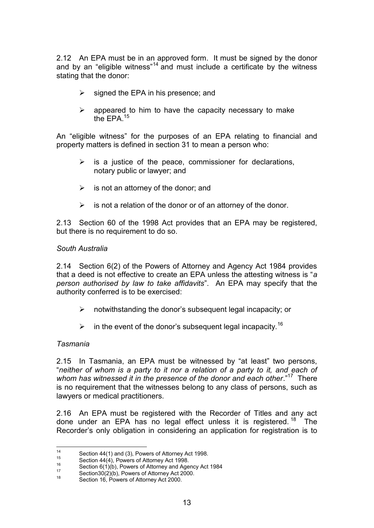2.12 An EPA must be in an approved form. It must be signed by the donor and by an "eligible witness"<sup>14</sup> and must include a certificate by the witness stating that the donor:

- $\triangleright$  signed the EPA in his presence; and
- $\triangleright$  appeared to him to have the capacity necessary to make the EPA.<sup>15</sup>

An "eligible witness" for the purposes of an EPA relating to financial and property matters is defined in section 31 to mean a person who:

- $\triangleright$  is a justice of the peace, commissioner for declarations, notary public or lawyer; and
- $\triangleright$  is not an attorney of the donor; and
- $\triangleright$  is not a relation of the donor or of an attorney of the donor.

2.13 Section 60 of the 1998 Act provides that an EPA may be registered, but there is no requirement to do so.

#### *South Australia*

2.14 Section 6(2) of the Powers of Attorney and Agency Act 1984 provides that a deed is not effective to create an EPA unless the attesting witness is "*a person authorised by law to take affidavits*". An EPA may specify that the authority conferred is to be exercised:

- $\triangleright$  notwithstanding the donor's subsequent legal incapacity; or
- $\triangleright$  in the event of the donor's subsequent legal incapacity.<sup>16</sup>

#### *Tasmania*

2.15 In Tasmania, an EPA must be witnessed by "at least" two persons, "*neither of whom is a party to it nor a relation of a party to it, and each of*  whom has witnessed it in the presence of the donor and each other."<sup>17</sup> There is no requirement that the witnesses belong to any class of persons, such as lawyers or medical practitioners.

2.16 An EPA must be registered with the Recorder of Titles and any act done under an EPA has no legal effect unless it is registered.<sup>18</sup> The Recorder's only obligation in considering an application for registration is to

 $14$ <sup>14</sup> Section 44(1) and (3), Powers of Attorney Act 1998.

<sup>&</sup>lt;sup>15</sup> Section 44(4), Powers of Attorney Act 1998.

<sup>&</sup>lt;sup>16</sup> Section 6(1)(b), Powers of Attorney and Agency Act 1984

 $17$  Section30(2)(b), Powers of Attorney Act 2000.

Section 16, Powers of Attorney Act 2000.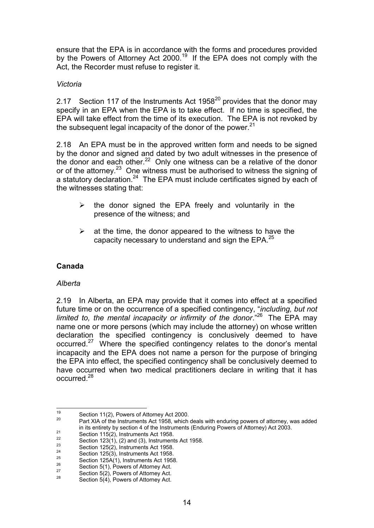ensure that the EPA is in accordance with the forms and procedures provided by the Powers of Attorney Act 2000.<sup>19</sup> If the EPA does not comply with the Act, the Recorder must refuse to register it.

#### *Victoria*

2.17 Section 117 of the Instruments Act 1958<sup>20</sup> provides that the donor may specify in an EPA when the EPA is to take effect. If no time is specified, the EPA will take effect from the time of its execution. The EPA is not revoked by the subsequent legal incapacity of the donor of the power. $21$ 

2.18 An EPA must be in the approved written form and needs to be signed by the donor and signed and dated by two adult witnesses in the presence of the donor and each other.<sup>22</sup> Only one witness can be a relative of the donor or of the attorney.<sup>23</sup> One witness must be authorised to witness the signing of a statutory declaration.<sup>24</sup> The EPA must include certificates signed by each of the witnesses stating that:

- $\triangleright$  the donor signed the EPA freely and voluntarily in the presence of the witness; and
- $\triangleright$  at the time, the donor appeared to the witness to have the capacity necessary to understand and sign the  $EPA.<sup>25</sup>$

# **Canada**

# *Alberta*

2.19 In Alberta, an EPA may provide that it comes into effect at a specified future time or on the occurrence of a specified contingency, "*including, but not*  limited to, the mental incapacity or infirmity of the donor."<sup>26</sup> The EPA may name one or more persons (which may include the attorney) on whose written declaration the specified contingency is conclusively deemed to have occurred.<sup>27</sup> Where the specified contingency relates to the donor's mental incapacity and the EPA does not name a person for the purpose of bringing the EPA into effect, the specified contingency shall be conclusively deemed to have occurred when two medical practitioners declare in writing that it has occurred.<sup>28</sup>

<sup>19</sup> 19 Section 11(2), Powers of Attorney Act 2000.

Part XIA of the Instruments Act 1958, which deals with enduring powers of attorney, was added in its entirety by section 4 of the Instruments (Enduring Powers of Attorney) Act 2003.

<sup>21</sup> Section 115(2), Instruments Act 1958.

 $\frac{22}{23}$  Section 123(1), (2) and (3), Instruments Act 1958.

 $\frac{23}{24}$  Section 125(2), Instruments Act 1958.

 $\frac{24}{25}$  Section 125(3), Instruments Act 1958.

Section 125A(1), Instruments Act 1958. 26

 $\frac{26}{27}$  Section 5(1), Powers of Attorney Act.

 $\frac{27}{28}$  Section 5(2), Powers of Attorney Act.

Section 5(4), Powers of Attorney Act.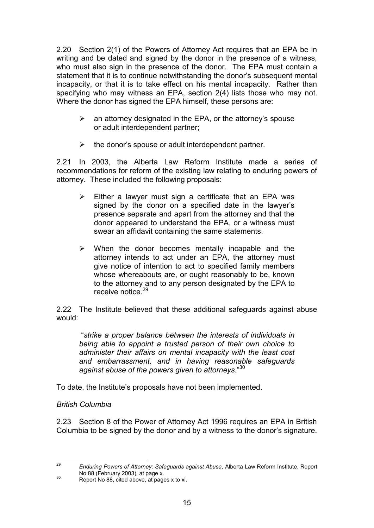2.20 Section 2(1) of the Powers of Attorney Act requires that an EPA be in writing and be dated and signed by the donor in the presence of a witness, who must also sign in the presence of the donor. The EPA must contain a statement that it is to continue notwithstanding the donor's subsequent mental incapacity, or that it is to take effect on his mental incapacity. Rather than specifying who may witness an EPA, section 2(4) lists those who may not. Where the donor has signed the EPA himself, these persons are:

- $\triangleright$  an attorney designated in the EPA, or the attorney's spouse or adult interdependent partner;
- $\triangleright$  the donor's spouse or adult interdependent partner.

2.21 In 2003, the Alberta Law Reform Institute made a series of recommendations for reform of the existing law relating to enduring powers of attorney. These included the following proposals:

- $\triangleright$  Either a lawyer must sign a certificate that an EPA was signed by the donor on a specified date in the lawyer's presence separate and apart from the attorney and that the donor appeared to understand the EPA, or a witness must swear an affidavit containing the same statements.
- $\triangleright$  When the donor becomes mentally incapable and the attorney intends to act under an EPA, the attorney must give notice of intention to act to specified family members whose whereabouts are, or ought reasonably to be, known to the attorney and to any person designated by the EPA to receive notice.<sup>29</sup>

2.22 The Institute believed that these additional safeguards against abuse would:

 "*strike a proper balance between the interests of individuals in being able to appoint a trusted person of their own choice to administer their affairs on mental incapacity with the least cost and embarrassment, and in having reasonable safeguards against abuse of the powers given to attorneys.*" 30

To date, the Institute's proposals have not been implemented.

# *British Columbia*

2.23 Section 8 of the Power of Attorney Act 1996 requires an EPA in British Columbia to be signed by the donor and by a witness to the donor's signature.

 $\frac{1}{29}$  *Enduring Powers of Attorney: Safeguards against Abuse*, Alberta Law Reform Institute, Report No 88 (February 2003), at page x.

<sup>30</sup> Report No 88, cited above, at pages x to xi.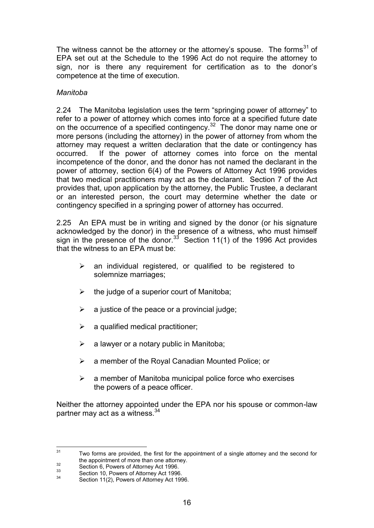The witness cannot be the attorney or the attorney's spouse. The forms $31$  of EPA set out at the Schedule to the 1996 Act do not require the attorney to sign, nor is there any requirement for certification as to the donor's competence at the time of execution.

### *Manitoba*

2.24 The Manitoba legislation uses the term "springing power of attorney" to refer to a power of attorney which comes into force at a specified future date on the occurrence of a specified contingency. $32$  The donor may name one or more persons (including the attorney) in the power of attorney from whom the attorney may request a written declaration that the date or contingency has occurred. If the power of attorney comes into force on the mental incompetence of the donor, and the donor has not named the declarant in the power of attorney, section 6(4) of the Powers of Attorney Act 1996 provides that two medical practitioners may act as the declarant. Section 7 of the Act provides that, upon application by the attorney, the Public Trustee, a declarant or an interested person, the court may determine whether the date or contingency specified in a springing power of attorney has occurred.

2.25 An EPA must be in writing and signed by the donor (or his signature acknowledged by the donor) in the presence of a witness, who must himself sign in the presence of the donor. $33$  Section 11(1) of the 1996 Act provides that the witness to an EPA must be:

- $\triangleright$  an individual registered, or qualified to be registered to solemnize marriages;
- $\triangleright$  the judge of a superior court of Manitoba;
- $\triangleright$  a justice of the peace or a provincial judge;
- $\triangleright$  a qualified medical practitioner;
- $\triangleright$  a lawyer or a notary public in Manitoba;
- a member of the Royal Canadian Mounted Police; or
- $\triangleright$  a member of Manitoba municipal police force who exercises the powers of a peace officer.

Neither the attorney appointed under the EPA nor his spouse or common-law partner may act as a witness.<sup>34</sup>

 $31$ Two forms are provided, the first for the appointment of a single attorney and the second for the appointment of more than one attorney.

<sup>&</sup>lt;sup>32</sup> Section 6, Powers of Attorney Act 1996.

 $33$  Section 10, Powers of Attorney Act 1996.

Section 11(2), Powers of Attorney Act 1996.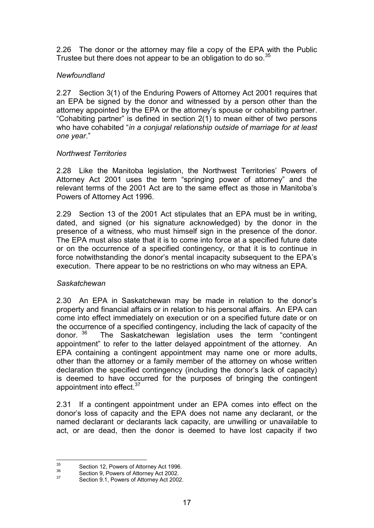2.26 The donor or the attorney may file a copy of the EPA with the Public Trustee but there does not appear to be an obligation to do so.<sup>35</sup>

### *Newfoundland*

2.27 Section 3(1) of the Enduring Powers of Attorney Act 2001 requires that an EPA be signed by the donor and witnessed by a person other than the attorney appointed by the EPA or the attorney's spouse or cohabiting partner. "Cohabiting partner" is defined in section 2(1) to mean either of two persons who have cohabited "*in a conjugal relationship outside of marriage for at least one year*."

#### *Northwest Territories*

2.28 Like the Manitoba legislation, the Northwest Territories' Powers of Attorney Act 2001 uses the term "springing power of attorney" and the relevant terms of the 2001 Act are to the same effect as those in Manitoba's Powers of Attorney Act 1996.

2.29 Section 13 of the 2001 Act stipulates that an EPA must be in writing, dated, and signed (or his signature acknowledged) by the donor in the presence of a witness, who must himself sign in the presence of the donor. The EPA must also state that it is to come into force at a specified future date or on the occurrence of a specified contingency, or that it is to continue in force notwithstanding the donor's mental incapacity subsequent to the EPA's execution. There appear to be no restrictions on who may witness an EPA.

#### *Saskatchewan*

2.30 An EPA in Saskatchewan may be made in relation to the donor's property and financial affairs or in relation to his personal affairs. An EPA can come into effect immediately on execution or on a specified future date or on the occurrence of a specified contingency, including the lack of capacity of the donor. <sup>36</sup> The Saskatchewan legislation uses the term "contingent appointment" to refer to the latter delayed appointment of the attorney. An EPA containing a contingent appointment may name one or more adults, other than the attorney or a family member of the attorney on whose written declaration the specified contingency (including the donor's lack of capacity) is deemed to have occurred for the purposes of bringing the contingent appointment into effect.<sup>37</sup>

2.31 If a contingent appointment under an EPA comes into effect on the donor's loss of capacity and the EPA does not name any declarant, or the named declarant or declarants lack capacity, are unwilling or unavailable to act, or are dead, then the donor is deemed to have lost capacity if two

<sup>35</sup>  $35$  Section 12, Powers of Attorney Act 1996.

 $36$  Section 9, Powers of Attorney Act 2002.

Section 9.1, Powers of Attorney Act 2002.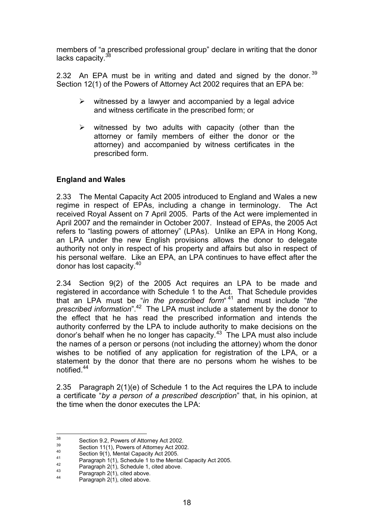members of "a prescribed professional group" declare in writing that the donor lacks capacity.<sup>38</sup>

2.32 An EPA must be in writing and dated and signed by the donor.  $39$ Section 12(1) of the Powers of Attorney Act 2002 requires that an EPA be:

- $\triangleright$  witnessed by a lawyer and accompanied by a legal advice and witness certificate in the prescribed form; or
- $\triangleright$  witnessed by two adults with capacity (other than the attorney or family members of either the donor or the attorney) and accompanied by witness certificates in the prescribed form.

### **England and Wales**

2.33 The Mental Capacity Act 2005 introduced to England and Wales a new regime in respect of EPAs, including a change in terminology. The Act received Royal Assent on 7 April 2005. Parts of the Act were implemented in April 2007 and the remainder in October 2007. Instead of EPAs, the 2005 Act refers to "lasting powers of attorney" (LPAs). Unlike an EPA in Hong Kong, an LPA under the new English provisions allows the donor to delegate authority not only in respect of his property and affairs but also in respect of his personal welfare. Like an EPA, an LPA continues to have effect after the donor has lost capacity.<sup>40</sup>

2.34 Section 9(2) of the 2005 Act requires an LPA to be made and registered in accordance with Schedule 1 to the Act. That Schedule provides that an LPA must be "*in the prescribed form*" <sup>41</sup> and must include "*the*  prescribed information<sup>".42</sup> The LPA must include a statement by the donor to the effect that he has read the prescribed information and intends the authority conferred by the LPA to include authority to make decisions on the donor's behalf when he no longer has capacity.<sup>43</sup> The LPA must also include the names of a person or persons (not including the attorney) whom the donor wishes to be notified of any application for registration of the LPA, or a statement by the donor that there are no persons whom he wishes to be notified<sup>44</sup>

2.35 Paragraph 2(1)(e) of Schedule 1 to the Act requires the LPA to include a certificate "*by a person of a prescribed description*" that, in his opinion, at the time when the donor executes the LPA:

 $38$  $38$  Section 9.2, Powers of Attorney Act 2002.

 $\frac{39}{40}$  Section 11(1), Powers of Attorney Act 2002.

 $^{40}$  Section 9(1), Mental Capacity Act 2005.

<sup>&</sup>lt;sup>41</sup> Paragraph 1(1), Schedule 1 to the Mental Capacity Act 2005.

 $^{42}$  Paragraph 2(1), Schedule 1, cited above.

 $\frac{43}{44}$  Paragraph 2(1), cited above.

Paragraph 2(1), cited above.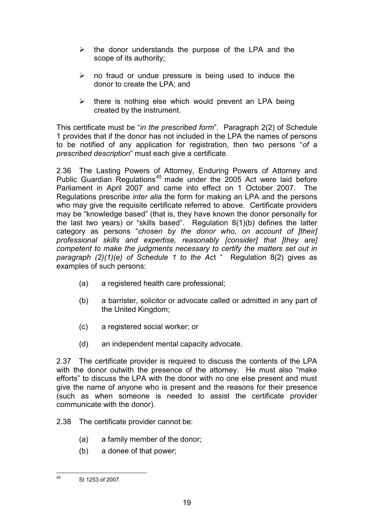- $\triangleright$  the donor understands the purpose of the LPA and the scope of its authority;
- $\triangleright$  no fraud or undue pressure is being used to induce the donor to create the LPA; and
- $\triangleright$  there is nothing else which would prevent an LPA being created by the instrument.

This certificate must be "*in the prescribed form*". Paragraph 2(2) of Schedule 1 provides that if the donor has not included in the LPA the names of persons to be notified of any application for registration, then two persons "*of a prescribed description*" must each give a certificate.

2.36 The Lasting Powers of Attorney, Enduring Powers of Attorney and Public Guardian Regulations<sup>45</sup> made under the 2005 Act were laid before Parliament in April 2007 and came into effect on 1 October 2007. The Regulations prescribe *inter alia* the form for making an LPA and the persons who may give the requisite certificate referred to above. Certificate providers may be "knowledge based" (that is, they have known the donor personally for the last two years) or "skills based". Regulation 8(1)(b) defines the latter category as persons "*chosen by the donor who, on account of [their] professional skills and expertise, reasonably [consider] that [they are] competent to make the judgments necessary to certify the matters set out in paragraph (2)(1)(e) of Schedule 1 to the Ac*t " Regulation 8(2) gives as examples of such persons:

- (a) a registered health care professional;
- (b) a barrister, solicitor or advocate called or admitted in any part of the United Kingdom;
- (c) a registered social worker; or
- (d) an independent mental capacity advocate.

2.37 The certificate provider is required to discuss the contents of the LPA with the donor outwith the presence of the attorney. He must also "make efforts" to discuss the LPA with the donor with no one else present and must give the name of anyone who is present and the reasons for their presence (such as when someone is needed to assist the certificate provider communicate with the donor).

- 2.38 The certificate provider cannot be:
	- (a) a family member of the donor;
	- (b) a donee of that power;

 $45$ SI 1253 of 2007.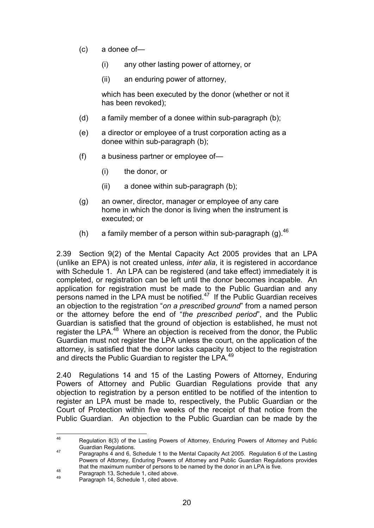- (c) a donee of—
	- (i) any other lasting power of attorney, or
	- (ii) an enduring power of attorney,

which has been executed by the donor (whether or not it has been revoked);

- (d) a family member of a donee within sub-paragraph (b);
- (e) a director or employee of a trust corporation acting as a donee within sub-paragraph (b);
- (f) a business partner or employee of—
	- (i) the donor, or
	- (ii) a donee within sub-paragraph (b);
- (g) an owner, director, manager or employee of any care home in which the donor is living when the instrument is executed; or
- (h) a family member of a person within sub-paragraph  $(q)$ .<sup>46</sup>

2.39 Section 9(2) of the Mental Capacity Act 2005 provides that an LPA (unlike an EPA) is not created unless, *inter alia*, it is registered in accordance with Schedule 1. An LPA can be registered (and take effect) immediately it is completed, or registration can be left until the donor becomes incapable. An application for registration must be made to the Public Guardian and any persons named in the LPA must be notified. $47$  If the Public Guardian receives an objection to the registration "*on a prescribed ground*" from a named person or the attorney before the end of "*the prescribed period*", and the Public Guardian is satisfied that the ground of objection is established, he must not register the LPA.<sup>48</sup> Where an objection is received from the donor, the Public Guardian must not register the LPA unless the court, on the application of the attorney, is satisfied that the donor lacks capacity to object to the registration and directs the Public Guardian to register the LPA.<sup>49</sup>

2.40 Regulations 14 and 15 of the Lasting Powers of Attorney, Enduring Powers of Attorney and Public Guardian Regulations provide that any objection to registration by a person entitled to be notified of the intention to register an LPA must be made to, respectively, the Public Guardian or the Court of Protection within five weeks of the receipt of that notice from the Public Guardian. An objection to the Public Guardian can be made by the

 $46$ Regulation 8(3) of the Lasting Powers of Attorney, Enduring Powers of Attorney and Public Guardian Regulations.

Paragraphs 4 and 6, Schedule 1 to the Mental Capacity Act 2005. Regulation 6 of the Lasting Powers of Attorney, Enduring Powers of Attorney and Public Guardian Regulations provides that the maximum number of persons to be named by the donor in an LPA is five.

<sup>48</sup> Paragraph 13, Schedule 1, cited above.

Paragraph 14, Schedule 1, cited above.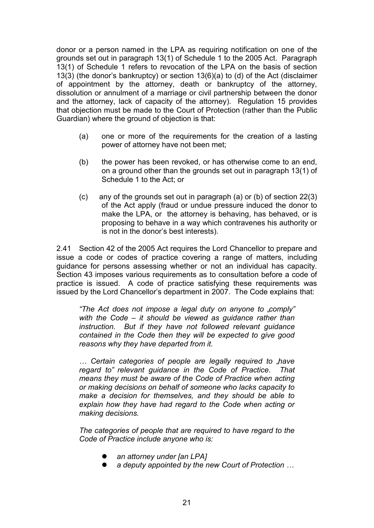donor or a person named in the LPA as requiring notification on one of the grounds set out in paragraph 13(1) of Schedule 1 to the 2005 Act. Paragraph 13(1) of Schedule 1 refers to revocation of the LPA on the basis of section 13(3) (the donor's bankruptcy) or section 13(6)(a) to (d) of the Act (disclaimer of appointment by the attorney, death or bankruptcy of the attorney, dissolution or annulment of a marriage or civil partnership between the donor and the attorney, lack of capacity of the attorney). Regulation 15 provides that objection must be made to the Court of Protection (rather than the Public Guardian) where the ground of objection is that:

- (a) one or more of the requirements for the creation of a lasting power of attorney have not been met;
- (b) the power has been revoked, or has otherwise come to an end, on a ground other than the grounds set out in paragraph 13(1) of Schedule 1 to the Act; or
- (c) any of the grounds set out in paragraph (a) or (b) of section 22(3) of the Act apply (fraud or undue pressure induced the donor to make the LPA, or the attorney is behaving, has behaved, or is proposing to behave in a way which contravenes his authority or is not in the donor's best interests).

2.41 Section 42 of the 2005 Act requires the Lord Chancellor to prepare and issue a code or codes of practice covering a range of matters, including guidance for persons assessing whether or not an individual has capacity. Section 43 imposes various requirements as to consultation before a code of practice is issued. A code of practice satisfying these requirements was issued by the Lord Chancellor's department in 2007. The Code explains that:

*"The Act does not impose a legal duty on anyone to "comply" with the Code – it should be viewed as guidance rather than instruction. But if they have not followed relevant guidance contained in the Code then they will be expected to give good reasons why they have departed from it.* 

*… Certain categories of people are legally required to "have regard to" relevant guidance in the Code of Practice. That means they must be aware of the Code of Practice when acting or making decisions on behalf of someone who lacks capacity to make a decision for themselves, and they should be able to explain how they have had regard to the Code when acting or making decisions.* 

*The categories of people that are required to have regard to the Code of Practice include anyone who is:* 

- *an attorney under [an LPA]*
- *a deputy appointed by the new Court of Protection …*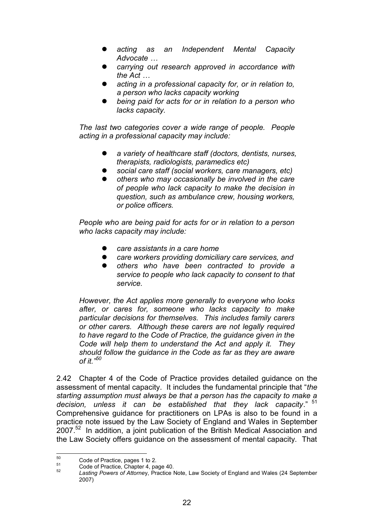- *acting as an Independent Mental Capacity Advocate …*
- *carrying out research approved in accordance with the Act …*
- *acting in a professional capacity for, or in relation to, a person who lacks capacity working*
- *being paid for acts for or in relation to a person who lacks capacity.*

*The last two categories cover a wide range of people. People acting in a professional capacity may include:* 

- *a variety of healthcare staff (doctors, dentists, nurses, therapists, radiologists, paramedics etc)*
- *social care staff (social workers, care managers, etc)*
- *others who may occasionally be involved in the care of people who lack capacity to make the decision in question, such as ambulance crew, housing workers, or police officers.*

*People who are being paid for acts for or in relation to a person who lacks capacity may include:* 

- *care assistants in a care home*
- *care workers providing domiciliary care services, and*
- *others who have been contracted to provide a service to people who lack capacity to consent to that service.*

*However, the Act applies more generally to everyone who looks after, or cares for, someone who lacks capacity to make particular decisions for themselves. This includes family carers or other carers. Although these carers are not legally required to have regard to the Code of Practice, the guidance given in the Code will help them to understand the Act and apply it. They should follow the guidance in the Code as far as they are aware of it."<sup>50</sup>*

2.42 Chapter 4 of the Code of Practice provides detailed guidance on the assessment of mental capacity. It includes the fundamental principle that "*the starting assumption must always be that a person has the capacity to make a decision, unless it can be established that they lack capacity*." 51 Comprehensive guidance for practitioners on LPAs is also to be found in a practice note issued by the Law Society of England and Wales in September  $2007<sup>52</sup>$  In addition, a joint publication of the British Medical Association and the Law Society offers guidance on the assessment of mental capacity. That

<sup>50</sup>  $^{50}$  Code of Practice, pages 1 to 2.

Code of Practice, Chapter 4, page 40. 52

*Lasting Powers of Attorne*y, Practice Note, Law Society of England and Wales (24 September 2007)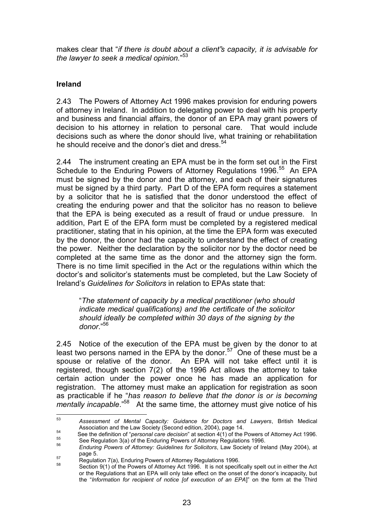makes clear that "*if there is doubt about a client"s capacity, it is advisable for the lawyer to seek a medical opinion.*" 53

# **Ireland**

2.43 The Powers of Attorney Act 1996 makes provision for enduring powers of attorney in Ireland. In addition to delegating power to deal with his property and business and financial affairs, the donor of an EPA may grant powers of decision to his attorney in relation to personal care. That would include decisions such as where the donor should live, what training or rehabilitation he should receive and the donor's diet and dress.<sup>54</sup>

2.44 The instrument creating an EPA must be in the form set out in the First Schedule to the Enduring Powers of Attorney Regulations 1996.<sup>55</sup> An EPA must be signed by the donor and the attorney, and each of their signatures must be signed by a third party. Part D of the EPA form requires a statement by a solicitor that he is satisfied that the donor understood the effect of creating the enduring power and that the solicitor has no reason to believe that the EPA is being executed as a result of fraud or undue pressure. In addition, Part E of the EPA form must be completed by a registered medical practitioner, stating that in his opinion, at the time the EPA form was executed by the donor, the donor had the capacity to understand the effect of creating the power. Neither the declaration by the solicitor nor by the doctor need be completed at the same time as the donor and the attorney sign the form. There is no time limit specified in the Act or the regulations within which the doctor's and solicitor's statements must be completed, but the Law Society of Ireland's *Guidelines for Solicitors* in relation to EPAs state that:

"*The statement of capacity by a medical practitioner (who should indicate medical qualifications) and the certificate of the solicitor should ideally be completed within 30 days of the signing by the donor*."<sup>56</sup>

2.45 Notice of the execution of the EPA must be given by the donor to at least two persons named in the EPA by the donor.<sup>57</sup> One of these must be a spouse or relative of the donor. An EPA will not take effect until it is registered, though section 7(2) of the 1996 Act allows the attorney to take certain action under the power once he has made an application for registration. The attorney must make an application for registration as soon as practicable if he "*has reason to believe that the donor is or is becoming*  mentally incapable.<sup>"58</sup> At the same time, the attorney must give notice of his

 $\frac{1}{53}$  *Assessment of Mental Capacity: Guidance for Doctors and Lawyers*, British Medical Association and the Law Society (Second edition, 2004), page 14.

<sup>54</sup> See the definition of "*personal care decision*" at section 4(1) of the Powers of Attorney Act 1996. See Regulation 3(a) of the Enduring Powers of Attorney Regulations 1996.

<sup>56</sup> *Enduring Powers of Attorney: Guidelines for Solicitors*, Law Society of Ireland (May 2004), at page 5.

<sup>57</sup> Regulation 7(a), Enduring Powers of Attorney Regulations 1996.

Section 9(1) of the Powers of Attorney Act 1996. It is not specifically spelt out in either the Act or the Regulations that an EPA will only take effect on the onset of the donor's incapacity, but the "*Information for recipient of notice [of execution of an EPA*]" on the form at the Third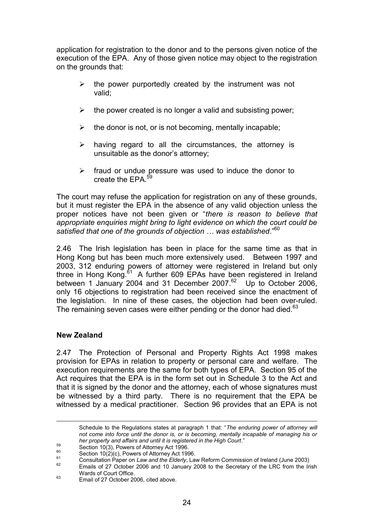application for registration to the donor and to the persons given notice of the execution of the EPA. Any of those given notice may object to the registration on the grounds that:

- $\triangleright$  the power purportedly created by the instrument was not valid;
- $\triangleright$  the power created is no longer a valid and subsisting power;
- $\triangleright$  the donor is not, or is not becoming, mentally incapable;
- $\triangleright$  having regard to all the circumstances, the attorney is unsuitable as the donor's attorney;
- $\triangleright$  fraud or undue pressure was used to induce the donor to create the EPA  $^{59}$

The court may refuse the application for registration on any of these grounds, but it must register the EPA in the absence of any valid objection unless the proper notices have not been given or "*there is reason to believe that appropriate enquiries might bring to light evidence on which the court could be satisfied that one of the grounds of objection … was established*."<sup>60</sup>

2.46 The Irish legislation has been in place for the same time as that in Hong Kong but has been much more extensively used. Between 1997 and 2003, 312 enduring powers of attorney were registered in Ireland but only three in Hong Kong.<sup>61</sup> A further 609 EPAs have been registered in Ireland between 1 January 2004 and 31 December 2007. $62$  Up to October 2006, only 16 objections to registration had been received since the enactment of the legislation. In nine of these cases, the objection had been over-ruled. The remaining seven cases were either pending or the donor had died.<sup>63</sup>

# **New Zealand**

-

2.47 The Protection of Personal and Property Rights Act 1998 makes provision for EPAs in relation to property or personal care and welfare. The execution requirements are the same for both types of EPA. Section 95 of the Act requires that the EPA is in the form set out in Schedule 3 to the Act and that it is signed by the donor and the attorney, each of whose signatures must be witnessed by a third party. There is no requirement that the EPA be witnessed by a medical practitioner. Section 96 provides that an EPA is not

Schedule to the Regulations states at paragraph 1 that: "*The enduring power of attorney will not come into force until the donor is, or is becoming, mentally incapable of managing his or her property and affairs and until it is registered in the High Court*."

<sup>&</sup>lt;sup>59</sup><br>Section 10(3), Powers of Attorney Act 1996.

 $\frac{60}{61}$  Section 10(2)(c), Powers of Attorney Act 1996.

<sup>61</sup> Consultation Paper on *Law and the Elderly*, Law Reform Commission of Ireland (June 2003)

Emails of 27 October 2006 and 10 January 2008 to the Secretary of the LRC from the Irish Wards of Court Office.

 $63$  Email of 27 October 2006, cited above.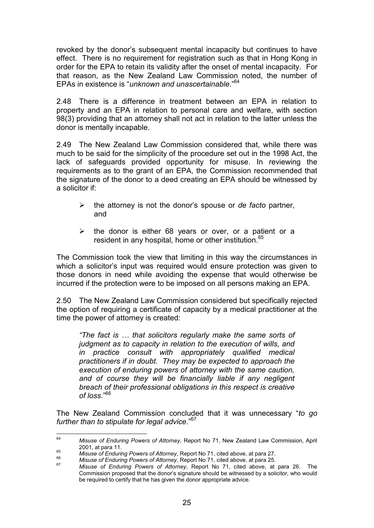revoked by the donor's subsequent mental incapacity but continues to have effect. There is no requirement for registration such as that in Hong Kong in order for the EPA to retain its validity after the onset of mental incapacity. For that reason, as the New Zealand Law Commission noted, the number of EPAs in existence is "*unknown and unascertainable*."<sup>64</sup>

2.48 There is a difference in treatment between an EPA in relation to property and an EPA in relation to personal care and welfare, with section 98(3) providing that an attorney shall not act in relation to the latter unless the donor is mentally incapable.

2.49 The New Zealand Law Commission considered that, while there was much to be said for the simplicity of the procedure set out in the 1998 Act, the lack of safeguards provided opportunity for misuse. In reviewing the requirements as to the grant of an EPA, the Commission recommended that the signature of the donor to a deed creating an EPA should be witnessed by a solicitor if:

- the attorney is not the donor's spouse or *de facto* partner, and
- $\triangleright$  the donor is either 68 years or over, or a patient or a resident in any hospital, home or other institution.<sup>65</sup>

The Commission took the view that limiting in this way the circumstances in which a solicitor's input was required would ensure protection was given to those donors in need while avoiding the expense that would otherwise be incurred if the protection were to be imposed on all persons making an EPA.

2.50 The New Zealand Law Commission considered but specifically rejected the option of requiring a certificate of capacity by a medical practitioner at the time the power of attorney is created:

*"The fact is … that solicitors regularly make the same sorts of judgment as to capacity in relation to the execution of wills, and in practice consult with appropriately qualified medical practitioners if in doubt. They may be expected to approach the execution of enduring powers of attorney with the same caution, and of course they will be financially liable if any negligent breach of their professional obligations in this respect is creative of loss*."<sup>66</sup>

The New Zealand Commission concluded that it was unnecessary "*to go further than to stipulate for legal advice*."<sup>67</sup>

 $\frac{1}{64}$  *Misuse of Enduring Powers of Attorney*, Report No 71, New Zealand Law Commission, April 2001, at para 11. 65

*Misuse of Enduring Powers of Attorney*, Report No 71, cited above, at para 27. 66

*Misuse of Enduring Powers of Attorney*, Report No 71, cited above, at para 25. 67

*Misuse of Enduring Powers of Attorney*, Report No 71, cited above, at para 26. The Commission proposed that the donor's signature should be witnessed by a solicitor, who would be required to certify that he has given the donor appropriate advice.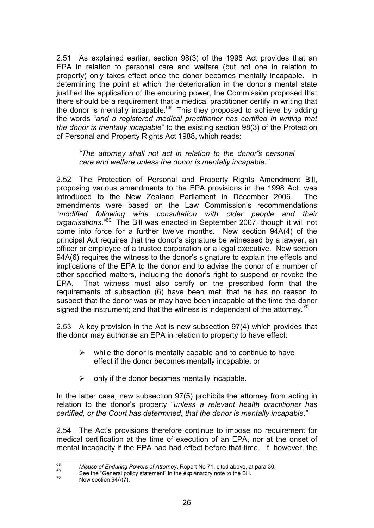2.51 As explained earlier, section 98(3) of the 1998 Act provides that an EPA in relation to personal care and welfare (but not one in relation to property) only takes effect once the donor becomes mentally incapable. In determining the point at which the deterioration in the donor's mental state justified the application of the enduring power, the Commission proposed that there should be a requirement that a medical practitioner certify in writing that the donor is mentally incapable.<sup>68</sup> This they proposed to achieve by adding the words "*and a registered medical practitioner has certified in writing that the donor is mentally incapable*" to the existing section 98(3) of the Protection of Personal and Property Rights Act 1988, which reads:

*"The attorney shall not act in relation to the donor"s personal care and welfare unless the donor is mentally incapable."* 

2.52 The Protection of Personal and Property Rights Amendment Bill, proposing various amendments to the EPA provisions in the 1998 Act, was introduced to the New Zealand Parliament in December 2006. The amendments were based on the Law Commission's recommendations "*modified following wide consultation with older people and their organisations*."<sup>69</sup> The Bill was enacted in September 2007, though it will not come into force for a further twelve months. New section 94A(4) of the principal Act requires that the donor's signature be witnessed by a lawyer, an officer or employee of a trustee corporation or a legal executive. New section 94A(6) requires the witness to the donor's signature to explain the effects and implications of the EPA to the donor and to advise the donor of a number of other specified matters, including the donor's right to suspend or revoke the EPA. That witness must also certify on the prescribed form that the requirements of subsection (6) have been met; that he has no reason to suspect that the donor was or may have been incapable at the time the donor signed the instrument; and that the witness is independent of the attorney.<sup>70</sup>

2.53 A key provision in the Act is new subsection 97(4) which provides that the donor may authorise an EPA in relation to property to have effect:

- $\triangleright$  while the donor is mentally capable and to continue to have effect if the donor becomes mentally incapable; or
- $\triangleright$  only if the donor becomes mentally incapable.

In the latter case, new subsection 97(5) prohibits the attorney from acting in relation to the donor's property "*unless a relevant health practitioner has certified, or the Court has determined, that the donor is mentally incapable*."

2.54 The Act's provisions therefore continue to impose no requirement for medical certification at the time of execution of an EPA, nor at the onset of mental incapacity if the EPA had had effect before that time. If, however, the

<sup>68</sup> <sup>68</sup> *Misuse of Enduring Powers of Attorney*, Report No 71, cited above, at para 30.

 $\frac{69}{70}$  See the "General policy statement" in the explanatory note to the Bill.

New section 94A(7).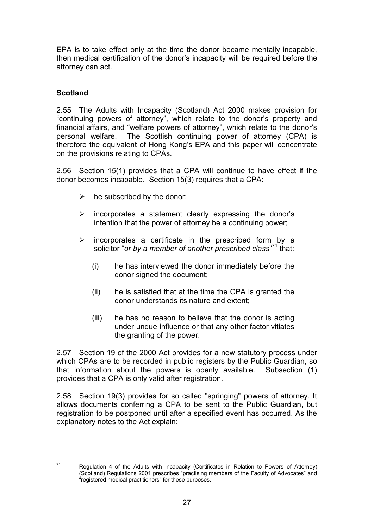EPA is to take effect only at the time the donor became mentally incapable, then medical certification of the donor's incapacity will be required before the attorney can act.

# **Scotland**

2.55 The Adults with Incapacity (Scotland) Act 2000 makes provision for "continuing powers of attorney", which relate to the donor's property and financial affairs, and "welfare powers of attorney", which relate to the donor's personal welfare. The Scottish continuing power of attorney (CPA) is therefore the equivalent of Hong Kong's EPA and this paper will concentrate on the provisions relating to CPAs.

2.56 Section 15(1) provides that a CPA will continue to have effect if the donor becomes incapable. Section 15(3) requires that a CPA:

- $\triangleright$  be subscribed by the donor;
- $\triangleright$  incorporates a statement clearly expressing the donor's intention that the power of attorney be a continuing power;
- $\triangleright$  incorporates a certificate in the prescribed form by a solicitor "*or by a member of another prescribed class*"<sup>71</sup> that:
	- (i) he has interviewed the donor immediately before the donor signed the document;
	- (ii) he is satisfied that at the time the CPA is granted the donor understands its nature and extent;
	- (iii) he has no reason to believe that the donor is acting under undue influence or that any other factor vitiates the granting of the power.

2.57 Section 19 of the 2000 Act provides for a new statutory process under which CPAs are to be recorded in public registers by the Public Guardian, so that information about the powers is openly available. Subsection (1) provides that a CPA is only valid after registration.

2.58 Section 19(3) provides for so called "springing" powers of attorney. It allows documents conferring a CPA to be sent to the Public Guardian, but registration to be postponed until after a specified event has occurred. As the explanatory notes to the Act explain:

 $71$ 

Regulation 4 of the Adults with Incapacity (Certificates in Relation to Powers of Attorney) (Scotland) Regulations 2001 prescribes "practising members of the Faculty of Advocates" and "registered medical practitioners" for these purposes.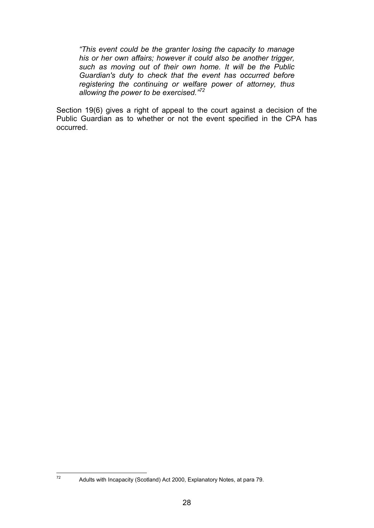*"This event could be the granter losing the capacity to manage his or her own affairs; however it could also be another trigger, such as moving out of their own home. It will be the Public Guardian's duty to check that the event has occurred before registering the continuing or welfare power of attorney, thus allowing the power to be exercised."<sup>72</sup>*

Section 19(6) gives a right of appeal to the court against a decision of the Public Guardian as to whether or not the event specified in the CPA has occurred.

 $72$ 

Adults with Incapacity (Scotland) Act 2000, Explanatory Notes, at para 79.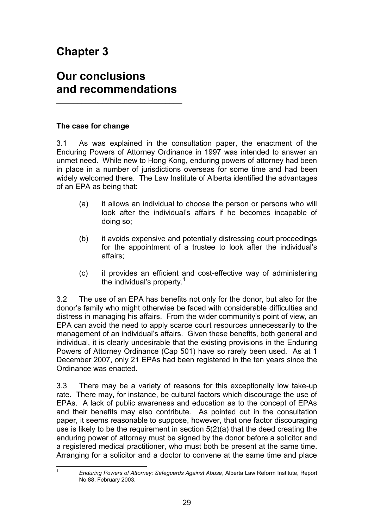# **Chapter 3**

# **Our conclusions and recommendations**

\_\_\_\_\_\_\_\_\_\_\_\_\_\_\_\_\_\_\_\_\_\_\_\_\_\_\_\_\_\_

### **The case for change**

3.1 As was explained in the consultation paper, the enactment of the Enduring Powers of Attorney Ordinance in 1997 was intended to answer an unmet need. While new to Hong Kong, enduring powers of attorney had been in place in a number of jurisdictions overseas for some time and had been widely welcomed there. The Law Institute of Alberta identified the advantages of an EPA as being that:

- (a) it allows an individual to choose the person or persons who will look after the individual's affairs if he becomes incapable of doing so;
- (b) it avoids expensive and potentially distressing court proceedings for the appointment of a trustee to look after the individual's affairs;
- (c) it provides an efficient and cost-effective way of administering the individual's property. $<sup>1</sup>$ </sup>

3.2 The use of an EPA has benefits not only for the donor, but also for the donor's family who might otherwise be faced with considerable difficulties and distress in managing his affairs. From the wider community's point of view, an EPA can avoid the need to apply scarce court resources unnecessarily to the management of an individual's affairs. Given these benefits, both general and individual, it is clearly undesirable that the existing provisions in the Enduring Powers of Attorney Ordinance (Cap 501) have so rarely been used. As at 1 December 2007, only 21 EPAs had been registered in the ten years since the Ordinance was enacted.

3.3 There may be a variety of reasons for this exceptionally low take-up rate. There may, for instance, be cultural factors which discourage the use of EPAs. A lack of public awareness and education as to the concept of EPAs and their benefits may also contribute. As pointed out in the consultation paper, it seems reasonable to suppose, however, that one factor discouraging use is likely to be the requirement in section 5(2)(a) that the deed creating the enduring power of attorney must be signed by the donor before a solicitor and a registered medical practitioner, who must both be present at the same time. Arranging for a solicitor and a doctor to convene at the same time and place

 $\frac{1}{1}$ 

*Enduring Powers of Attorney: Safeguards Against Abuse*, Alberta Law Reform Institute, Report No 88, February 2003.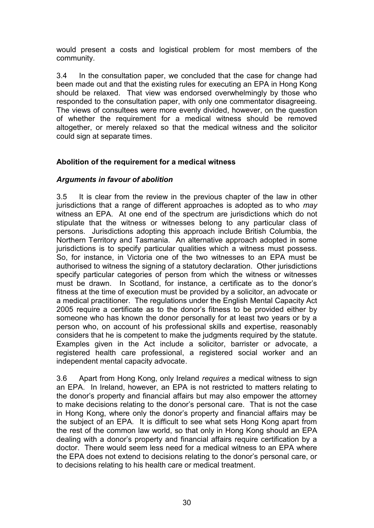would present a costs and logistical problem for most members of the community.

3.4 In the consultation paper, we concluded that the case for change had been made out and that the existing rules for executing an EPA in Hong Kong should be relaxed. That view was endorsed overwhelmingly by those who responded to the consultation paper, with only one commentator disagreeing. The views of consultees were more evenly divided, however, on the question of whether the requirement for a medical witness should be removed altogether, or merely relaxed so that the medical witness and the solicitor could sign at separate times.

# **Abolition of the requirement for a medical witness**

# *Arguments in favour of abolition*

3.5 It is clear from the review in the previous chapter of the law in other jurisdictions that a range of different approaches is adopted as to who *may* witness an EPA. At one end of the spectrum are jurisdictions which do not stipulate that the witness or witnesses belong to any particular class of persons. Jurisdictions adopting this approach include British Columbia, the Northern Territory and Tasmania. An alternative approach adopted in some jurisdictions is to specify particular qualities which a witness must possess. So, for instance, in Victoria one of the two witnesses to an EPA must be authorised to witness the signing of a statutory declaration. Other jurisdictions specify particular categories of person from which the witness or witnesses must be drawn. In Scotland, for instance, a certificate as to the donor's fitness at the time of execution must be provided by a solicitor, an advocate or a medical practitioner. The regulations under the English Mental Capacity Act 2005 require a certificate as to the donor's fitness to be provided either by someone who has known the donor personally for at least two years or by a person who, on account of his professional skills and expertise, reasonably considers that he is competent to make the judgments required by the statute. Examples given in the Act include a solicitor, barrister or advocate, a registered health care professional, a registered social worker and an independent mental capacity advocate.

3.6 Apart from Hong Kong, only Ireland *requires* a medical witness to sign an EPA. In Ireland, however, an EPA is not restricted to matters relating to the donor's property and financial affairs but may also empower the attorney to make decisions relating to the donor's personal care. That is not the case in Hong Kong, where only the donor's property and financial affairs may be the subject of an EPA. It is difficult to see what sets Hong Kong apart from the rest of the common law world, so that only in Hong Kong should an EPA dealing with a donor's property and financial affairs require certification by a doctor. There would seem less need for a medical witness to an EPA where the EPA does not extend to decisions relating to the donor's personal care, or to decisions relating to his health care or medical treatment.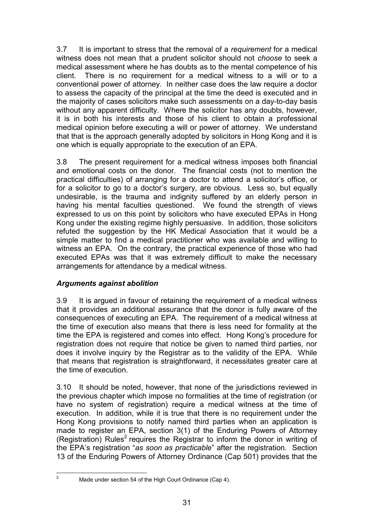3.7 It is important to stress that the removal of a *requirement* for a medical witness does not mean that a prudent solicitor should not *choose* to seek a medical assessment where he has doubts as to the mental competence of his client. There is no requirement for a medical witness to a will or to a conventional power of attorney. In neither case does the law require a doctor to assess the capacity of the principal at the time the deed is executed and in the majority of cases solicitors make such assessments on a day-to-day basis without any apparent difficulty. Where the solicitor has any doubts, however, it is in both his interests and those of his client to obtain a professional medical opinion before executing a will or power of attorney. We understand that that is the approach generally adopted by solicitors in Hong Kong and it is one which is equally appropriate to the execution of an EPA.

3.8 The present requirement for a medical witness imposes both financial and emotional costs on the donor. The financial costs (not to mention the practical difficulties) of arranging for a doctor to attend a solicitor's office, or for a solicitor to go to a doctor's surgery, are obvious. Less so, but equally undesirable, is the trauma and indignity suffered by an elderly person in having his mental faculties questioned. We found the strength of views expressed to us on this point by solicitors who have executed EPAs in Hong Kong under the existing regime highly persuasive. In addition, those solicitors refuted the suggestion by the HK Medical Association that it would be a simple matter to find a medical practitioner who was available and willing to witness an EPA. On the contrary, the practical experience of those who had executed EPAs was that it was extremely difficult to make the necessary arrangements for attendance by a medical witness.

# *Arguments against abolition*

3.9 It is argued in favour of retaining the requirement of a medical witness that it provides an additional assurance that the donor is fully aware of the consequences of executing an EPA. The requirement of a medical witness at the time of execution also means that there is less need for formality at the time the EPA is registered and comes into effect. Hong Kong's procedure for registration does not require that notice be given to named third parties, nor does it involve inquiry by the Registrar as to the validity of the EPA. While that means that registration is straightforward, it necessitates greater care at the time of execution.

3.10 It should be noted, however, that none of the jurisdictions reviewed in the previous chapter which impose no formalities at the time of registration (or have no system of registration) require a medical witness at the time of execution. In addition, while it is true that there is no requirement under the Hong Kong provisions to notify named third parties when an application is made to register an EPA, section 3(1) of the Enduring Powers of Attorney (Registration) Rules<sup>2</sup> requires the Registrar to inform the donor in writing of the EPA's registration "*as soon as practicable*" after the registration. Section 13 of the Enduring Powers of Attorney Ordinance (Cap 501) provides that the

 $\frac{1}{2}$ 

Made under section 54 of the High Court Ordinance (Cap 4).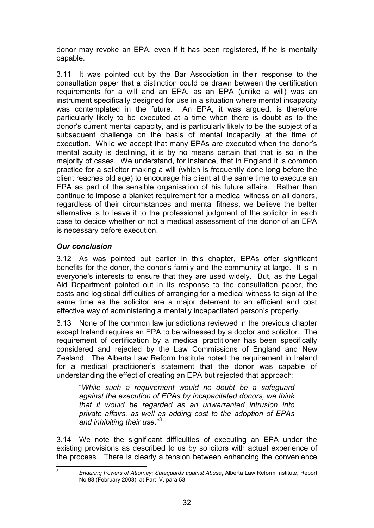donor may revoke an EPA, even if it has been registered, if he is mentally capable.

3.11 It was pointed out by the Bar Association in their response to the consultation paper that a distinction could be drawn between the certification requirements for a will and an EPA, as an EPA (unlike a will) was an instrument specifically designed for use in a situation where mental incapacity was contemplated in the future. An EPA, it was argued, is therefore particularly likely to be executed at a time when there is doubt as to the donor's current mental capacity, and is particularly likely to be the subject of a subsequent challenge on the basis of mental incapacity at the time of execution. While we accept that many EPAs are executed when the donor's mental acuity is declining, it is by no means certain that that is so in the majority of cases. We understand, for instance, that in England it is common practice for a solicitor making a will (which is frequently done long before the client reaches old age) to encourage his client at the same time to execute an EPA as part of the sensible organisation of his future affairs. Rather than continue to impose a blanket requirement for a medical witness on all donors, regardless of their circumstances and mental fitness, we believe the better alternative is to leave it to the professional judgment of the solicitor in each case to decide whether or not a medical assessment of the donor of an EPA is necessary before execution.

# *Our conclusion*

-<br>3

3.12 As was pointed out earlier in this chapter, EPAs offer significant benefits for the donor, the donor's family and the community at large. It is in everyone's interests to ensure that they are used widely. But, as the Legal Aid Department pointed out in its response to the consultation paper, the costs and logistical difficulties of arranging for a medical witness to sign at the same time as the solicitor are a major deterrent to an efficient and cost effective way of administering a mentally incapacitated person's property.

3.13 None of the common law jurisdictions reviewed in the previous chapter except Ireland requires an EPA to be witnessed by a doctor and solicitor. The requirement of certification by a medical practitioner has been specifically considered and rejected by the Law Commissions of England and New Zealand. The Alberta Law Reform Institute noted the requirement in Ireland for a medical practitioner's statement that the donor was capable of understanding the effect of creating an EPA but rejected that approach:

"*While such a requirement would no doubt be a safeguard against the execution of EPAs by incapacitated donors, we think that it would be regarded as an unwarranted intrusion into private affairs, as well as adding cost to the adoption of EPAs and inhibiting their use*."<sup>3</sup>

3.14 We note the significant difficulties of executing an EPA under the existing provisions as described to us by solicitors with actual experience of the process. There is clearly a tension between enhancing the convenience

*Enduring Powers of Attorney: Safeguards against Abuse*, Alberta Law Reform Institute, Report No 88 (February 2003), at Part IV, para 53.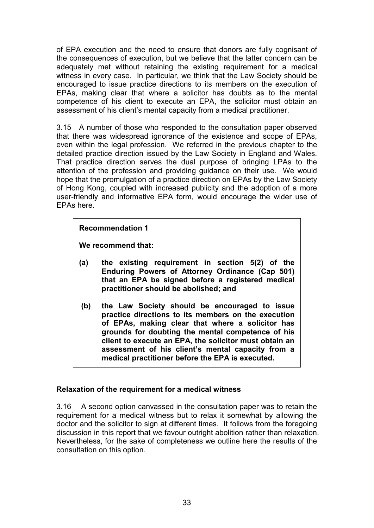of EPA execution and the need to ensure that donors are fully cognisant of the consequences of execution, but we believe that the latter concern can be adequately met without retaining the existing requirement for a medical witness in every case. In particular, we think that the Law Society should be encouraged to issue practice directions to its members on the execution of EPAs, making clear that where a solicitor has doubts as to the mental competence of his client to execute an EPA, the solicitor must obtain an assessment of his client's mental capacity from a medical practitioner.

3.15 A number of those who responded to the consultation paper observed that there was widespread ignorance of the existence and scope of EPAs, even within the legal profession. We referred in the previous chapter to the detailed practice direction issued by the Law Society in England and Wales. That practice direction serves the dual purpose of bringing LPAs to the attention of the profession and providing guidance on their use. We would hope that the promulgation of a practice direction on EPAs by the Law Society of Hong Kong, coupled with increased publicity and the adoption of a more user-friendly and informative EPA form, would encourage the wider use of EPAs here.

# **Recommendation 1**

**We recommend that:** 

- **(a) the existing requirement in section 5(2) of the Enduring Powers of Attorney Ordinance (Cap 501) that an EPA be signed before a registered medical practitioner should be abolished; and**
- **(b) the Law Society should be encouraged to issue practice directions to its members on the execution of EPAs, making clear that where a solicitor has grounds for doubting the mental competence of his client to execute an EPA, the solicitor must obtain an assessment of his client's mental capacity from a medical practitioner before the EPA is executed.**

# **Relaxation of the requirement for a medical witness**

3.16 A second option canvassed in the consultation paper was to retain the requirement for a medical witness but to relax it somewhat by allowing the doctor and the solicitor to sign at different times. It follows from the foregoing discussion in this report that we favour outright abolition rather than relaxation. Nevertheless, for the sake of completeness we outline here the results of the consultation on this option.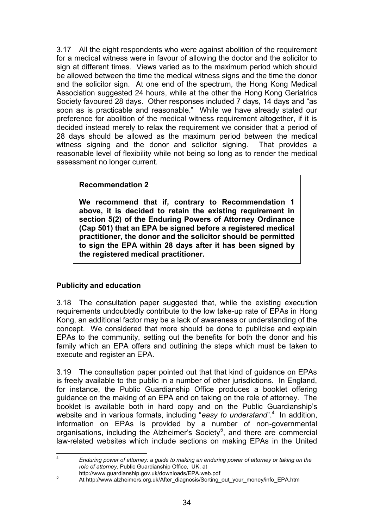3.17 All the eight respondents who were against abolition of the requirement for a medical witness were in favour of allowing the doctor and the solicitor to sign at different times. Views varied as to the maximum period which should be allowed between the time the medical witness signs and the time the donor and the solicitor sign. At one end of the spectrum, the Hong Kong Medical Association suggested 24 hours, while at the other the Hong Kong Geriatrics Society favoured 28 days. Other responses included 7 days, 14 days and "as soon as is practicable and reasonable." While we have already stated our preference for abolition of the medical witness requirement altogether, if it is decided instead merely to relax the requirement we consider that a period of 28 days should be allowed as the maximum period between the medical witness signing and the donor and solicitor signing. That provides a reasonable level of flexibility while not being so long as to render the medical assessment no longer current.

# **Recommendation 2**

**We recommend that if, contrary to Recommendation 1 above, it is decided to retain the existing requirement in section 5(2) of the Enduring Powers of Attorney Ordinance (Cap 501) that an EPA be signed before a registered medical practitioner, the donor and the solicitor should be permitted to sign the EPA within 28 days after it has been signed by the registered medical practitioner.** 

# **Publicity and education**

3.18 The consultation paper suggested that, while the existing execution requirements undoubtedly contribute to the low take-up rate of EPAs in Hong Kong, an additional factor may be a lack of awareness or understanding of the concept. We considered that more should be done to publicise and explain EPAs to the community, setting out the benefits for both the donor and his family which an EPA offers and outlining the steps which must be taken to execute and register an EPA.

3.19 The consultation paper pointed out that that kind of guidance on EPAs is freely available to the public in a number of other jurisdictions. In England, for instance, the Public Guardianship Office produces a booklet offering guidance on the making of an EPA and on taking on the role of attorney. The booklet is available both in hard copy and on the Public Guardianship's website and in various formats, including "easy to understand".<sup>4</sup> In addition, information on EPAs is provided by a number of non-governmental organisations, including the Alzheimer's Society<sup>5</sup>, and there are commercial law-related websites which include sections on making EPAs in the United

-<br>4 *Enduring power of attorney: a guide to making an enduring power of attorney or taking on the role of attorney*, Public Guardianship Office, UK, at

http://www.guardianship.gov.uk/downloads/EPA.web.pdf

<sup>5</sup> At http://www.alzheimers.org.uk/After\_diagnosis/Sorting\_out\_your\_money/info\_EPA.htm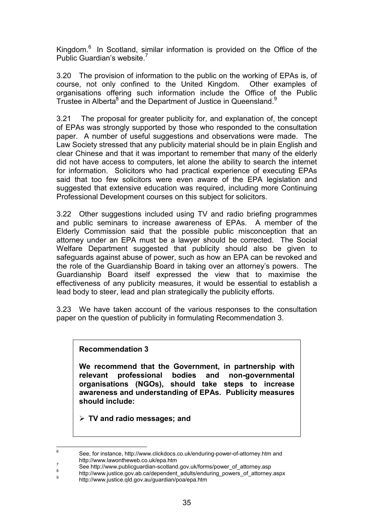Kingdom.<sup>6</sup> In Scotland, similar information is provided on the Office of the Public Guardian's website.<sup>7</sup>

3.20 The provision of information to the public on the working of EPAs is, of course, not only confined to the United Kingdom. Other examples of organisations offering such information include the Office of the Public Trustee in Alberta $^8$  and the Department of Justice in Queensland.<sup>9</sup>

3.21 The proposal for greater publicity for, and explanation of, the concept of EPAs was strongly supported by those who responded to the consultation paper. A number of useful suggestions and observations were made. The Law Society stressed that any publicity material should be in plain English and clear Chinese and that it was important to remember that many of the elderly did not have access to computers, let alone the ability to search the internet for information. Solicitors who had practical experience of executing EPAs said that too few solicitors were even aware of the EPA legislation and suggested that extensive education was required, including more Continuing Professional Development courses on this subject for solicitors.

3.22 Other suggestions included using TV and radio briefing programmes and public seminars to increase awareness of EPAs. A member of the Elderly Commission said that the possible public misconception that an attorney under an EPA must be a lawyer should be corrected. The Social Welfare Department suggested that publicity should also be given to safeguards against abuse of power, such as how an EPA can be revoked and the role of the Guardianship Board in taking over an attorney's powers. The Guardianship Board itself expressed the view that to maximise the effectiveness of any publicity measures, it would be essential to establish a lead body to steer, lead and plan strategically the publicity efforts.

3.23 We have taken account of the various responses to the consultation paper on the question of publicity in formulating Recommendation 3.

#### **Recommendation 3**

**We recommend that the Government, in partnership with relevant professional bodies and non-governmental organisations (NGOs), should take steps to increase awareness and understanding of EPAs. Publicity measures should include:** 

**TV and radio messages; and** 

<sup>-&</sup>lt;br>6 See, for instance[, http://www.clickdocs.co.uk/enduring-power-of-attorney.htm](http://www.clickdocs.co.uk/enduring-power-of-attorney.htm) and <http://www.lawontheweb.co.uk/epa.htm>

<sup>7</sup> See http://www.publicguardian-scotland.gov.uk/forms/power\_of\_attorney.asp 8

http://www.justice.gov.ab.ca/dependent\_adults/enduring\_powers\_of\_attorney.aspx

<sup>9</sup> http://www.justice.qld.gov.au/guardian/poa/epa.htm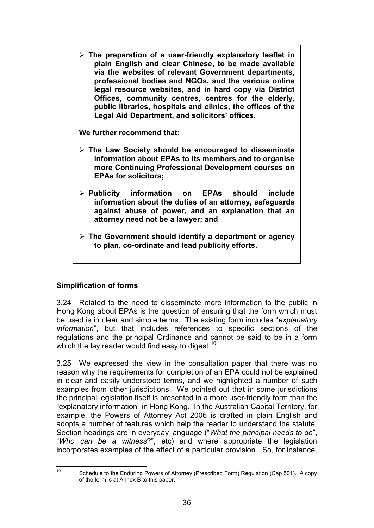**The preparation of a user-friendly explanatory leaflet in plain English and clear Chinese, to be made available via the websites of relevant Government departments, professional bodies and NGOs, and the various online legal resource websites, and in hard copy via District Offices, community centres, centres for the elderly, public libraries, hospitals and clinics, the offices of the Legal Aid Department, and solicitors' offices.** 

**We further recommend that:** 

- **The Law Society should be encouraged to disseminate information about EPAs to its members and to organise more Continuing Professional Development courses on EPAs for solicitors;**
- **Publicity information on EPAs should include information about the duties of an attorney, safeguards against abuse of power, and an explanation that an attorney need not be a lawyer; and**
- **The Government should identify a department or agency to plan, co-ordinate and lead publicity efforts.**

# **Simplification of forms**

3.24 Related to the need to disseminate more information to the public in Hong Kong about EPAs is the question of ensuring that the form which must be used is in clear and simple terms. The existing form includes "*explanatory information*", but that includes references to specific sections of the regulations and the principal Ordinance and cannot be said to be in a form which the lay reader would find easy to digest.<sup>10</sup>

3.25 We expressed the view in the consultation paper that there was no reason why the requirements for completion of an EPA could not be explained in clear and easily understood terms, and we highlighted a number of such examples from other jurisdictions. We pointed out that in some jurisdictions the principal legislation itself is presented in a more user-friendly form than the "explanatory information" in Hong Kong. In the Australian Capital Territory, for example, the Powers of Attorney Act 2006 is drafted in plain English and adopts a number of features which help the reader to understand the statute. Section headings are in everyday language ("*What the principal needs to do*", "*Who can be a witness*?", etc) and where appropriate the legislation incorporates examples of the effect of a particular provision. So, for instance,

 $10$ Schedule to the Enduring Powers of Attorney (Prescribed Form) Regulation (Cap 501). A copy of the form is at Annex B to this paper.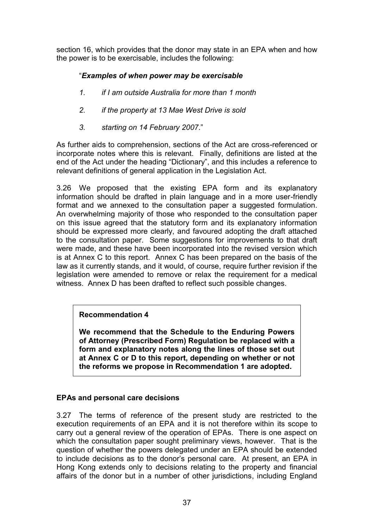section 16, which provides that the donor may state in an EPA when and how the power is to be exercisable, includes the following:

# "*Examples of when power may be exercisable*

- *1. if I am outside Australia for more than 1 month*
- *2. if the property at 13 Mae West Drive is sold*
- *3. starting on 14 February 2007*."

As further aids to comprehension, sections of the Act are cross-referenced or incorporate notes where this is relevant. Finally, definitions are listed at the end of the Act under the heading "Dictionary", and this includes a reference to relevant definitions of general application in the Legislation Act.

3.26 We proposed that the existing EPA form and its explanatory information should be drafted in plain language and in a more user-friendly format and we annexed to the consultation paper a suggested formulation. An overwhelming majority of those who responded to the consultation paper on this issue agreed that the statutory form and its explanatory information should be expressed more clearly, and favoured adopting the draft attached to the consultation paper. Some suggestions for improvements to that draft were made, and these have been incorporated into the revised version which is at Annex C to this report. Annex C has been prepared on the basis of the law as it currently stands, and it would, of course, require further revision if the legislation were amended to remove or relax the requirement for a medical witness. Annex D has been drafted to reflect such possible changes.

# **Recommendation 4**

**We recommend that the Schedule to the Enduring Powers of Attorney (Prescribed Form) Regulation be replaced with a form and explanatory notes along the lines of those set out at Annex C or D to this report, depending on whether or not the reforms we propose in Recommendation 1 are adopted.** 

# **EPAs and personal care decisions**

3.27 The terms of reference of the present study are restricted to the execution requirements of an EPA and it is not therefore within its scope to carry out a general review of the operation of EPAs. There is one aspect on which the consultation paper sought preliminary views, however. That is the question of whether the powers delegated under an EPA should be extended to include decisions as to the donor's personal care. At present, an EPA in Hong Kong extends only to decisions relating to the property and financial affairs of the donor but in a number of other jurisdictions, including England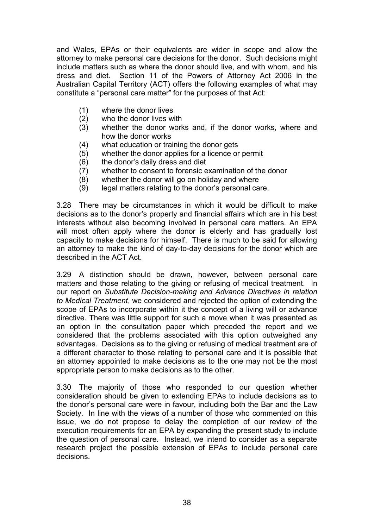and Wales, EPAs or their equivalents are wider in scope and allow the attorney to make personal care decisions for the donor. Such decisions might include matters such as where the donor should live, and with whom, and his dress and diet. Section 11 of the Powers of Attorney Act 2006 in the Australian Capital Territory (ACT) offers the following examples of what may constitute a "personal care matter" for the purposes of that Act:

- (1) where the donor lives
- (2) who the donor lives with
- (3) whether the donor works and, if the donor works, where and how the donor works
- (4) what education or training the donor gets
- (5) whether the donor applies for a licence or permit
- (6) the donor's daily dress and diet
- (7) whether to consent to forensic examination of the donor
- (8) whether the donor will go on holiday and where
- (9) legal matters relating to the donor's personal care.

3.28 There may be circumstances in which it would be difficult to make decisions as to the donor's property and financial affairs which are in his best interests without also becoming involved in personal care matters. An EPA will most often apply where the donor is elderly and has gradually lost capacity to make decisions for himself. There is much to be said for allowing an attorney to make the kind of day-to-day decisions for the donor which are described in the ACT Act.

3.29 A distinction should be drawn, however, between personal care matters and those relating to the giving or refusing of medical treatment. In our report on *Substitute Decision-making and Advance Directives in relation to Medical Treatment*, we considered and rejected the option of extending the scope of EPAs to incorporate within it the concept of a living will or advance directive. There was little support for such a move when it was presented as an option in the consultation paper which preceded the report and we considered that the problems associated with this option outweighed any advantages. Decisions as to the giving or refusing of medical treatment are of a different character to those relating to personal care and it is possible that an attorney appointed to make decisions as to the one may not be the most appropriate person to make decisions as to the other.

3.30 The majority of those who responded to our question whether consideration should be given to extending EPAs to include decisions as to the donor's personal care were in favour, including both the Bar and the Law Society. In line with the views of a number of those who commented on this issue, we do not propose to delay the completion of our review of the execution requirements for an EPA by expanding the present study to include the question of personal care. Instead, we intend to consider as a separate research project the possible extension of EPAs to include personal care decisions.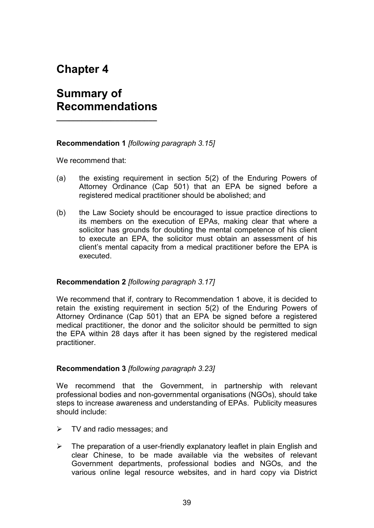# **Chapter 4**

# **Summary of Recommendations**

**\_\_\_\_\_\_\_\_\_\_\_\_\_\_\_\_\_\_\_\_\_\_\_\_** 

**Recommendation 1** *[following paragraph 3.15]*

We recommend that:

- (a) the existing requirement in section 5(2) of the Enduring Powers of Attorney Ordinance (Cap 501) that an EPA be signed before a registered medical practitioner should be abolished; and
- (b) the Law Society should be encouraged to issue practice directions to its members on the execution of EPAs, making clear that where a solicitor has grounds for doubting the mental competence of his client to execute an EPA, the solicitor must obtain an assessment of his client's mental capacity from a medical practitioner before the EPA is executed.

#### **Recommendation 2** *[following paragraph 3.17]*

We recommend that if, contrary to Recommendation 1 above, it is decided to retain the existing requirement in section 5(2) of the Enduring Powers of Attorney Ordinance (Cap 501) that an EPA be signed before a registered medical practitioner, the donor and the solicitor should be permitted to sign the EPA within 28 days after it has been signed by the registered medical practitioner.

#### **Recommendation 3** *[following paragraph 3.23]*

We recommend that the Government, in partnership with relevant professional bodies and non-governmental organisations (NGOs), should take steps to increase awareness and understanding of EPAs. Publicity measures should include:

- $\triangleright$  TV and radio messages; and
- $\triangleright$  The preparation of a user-friendly explanatory leaflet in plain English and clear Chinese, to be made available via the websites of relevant Government departments, professional bodies and NGOs, and the various online legal resource websites, and in hard copy via District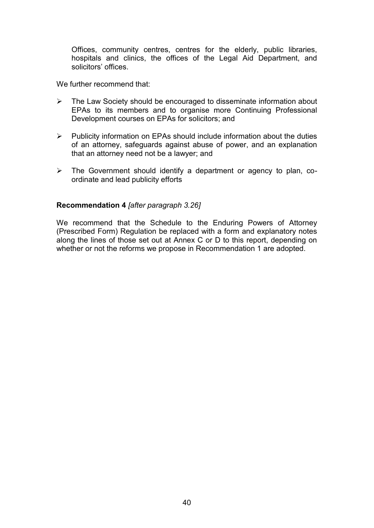Offices, community centres, centres for the elderly, public libraries, hospitals and clinics, the offices of the Legal Aid Department, and solicitors' offices.

We further recommend that:

- $\triangleright$  The Law Society should be encouraged to disseminate information about EPAs to its members and to organise more Continuing Professional Development courses on EPAs for solicitors; and
- $\triangleright$  Publicity information on EPAs should include information about the duties of an attorney, safeguards against abuse of power, and an explanation that an attorney need not be a lawyer; and
- $\triangleright$  The Government should identify a department or agency to plan, coordinate and lead publicity efforts

#### **Recommendation 4** *[after paragraph 3.26]*

We recommend that the Schedule to the Enduring Powers of Attorney (Prescribed Form) Regulation be replaced with a form and explanatory notes along the lines of those set out at Annex C or D to this report, depending on whether or not the reforms we propose in Recommendation 1 are adopted.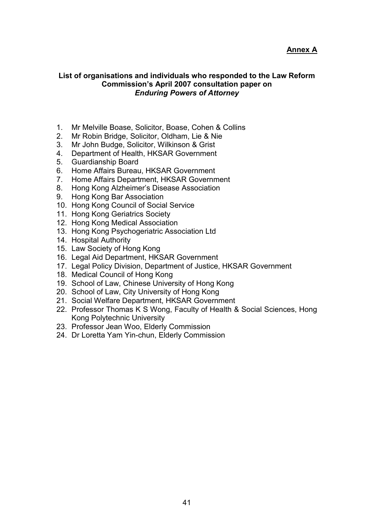# **Annex A**

#### **List of organisations and individuals who responded to the Law Reform Commission's April 2007 consultation paper on**  *Enduring Powers of Attorney*

- 1. Mr Melville Boase, Solicitor, Boase, Cohen & Collins
- 2. Mr Robin Bridge, Solicitor, Oldham, Lie & Nie
- 3. Mr John Budge, Solicitor, Wilkinson & Grist
- 4. Department of Health, HKSAR Government
- 5. Guardianship Board
- 6. Home Affairs Bureau, HKSAR Government
- 7. Home Affairs Department, HKSAR Government
- 8. Hong Kong Alzheimer's Disease Association
- 9. Hong Kong Bar Association
- 10. Hong Kong Council of Social Service
- 11. Hong Kong Geriatrics Society
- 12. Hong Kong Medical Association
- 13. Hong Kong Psychogeriatric Association Ltd
- 14. Hospital Authority
- 15. Law Society of Hong Kong
- 16. Legal Aid Department, HKSAR Government
- 17. Legal Policy Division, Department of Justice, HKSAR Government
- 18. Medical Council of Hong Kong
- 19. School of Law, Chinese University of Hong Kong
- 20. School of Law, City University of Hong Kong
- 21. Social Welfare Department, HKSAR Government
- 22. Professor Thomas K S Wong, Faculty of Health & Social Sciences, Hong Kong Polytechnic University
- 23. Professor Jean Woo, Elderly Commission
- 24. Dr Loretta Yam Yin-chun, Elderly Commission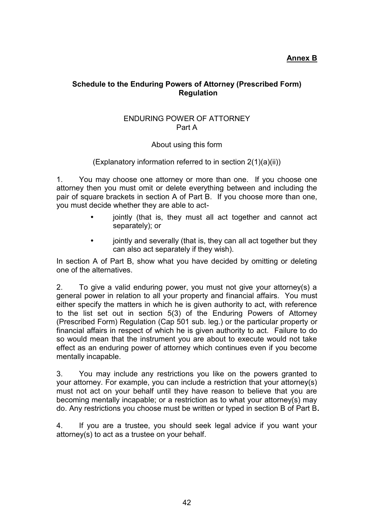### **Annex B**

### **Schedule to the Enduring Powers of Attorney (Prescribed Form) Regulation**

### ENDURING POWER OF ATTORNEY Part A

#### About using this form

### (Explanatory information referred to in section  $2(1)(a)(ii)$ )

1. You may choose one attorney or more than one. If you choose one attorney then you must omit or delete everything between and including the pair of square brackets in section A of Part B. If you choose more than one, you must decide whether they are able to act-

- jointly (that is, they must all act together and cannot act separately); or
- jointly and severally (that is, they can all act together but they can also act separately if they wish).

In section A of Part B, show what you have decided by omitting or deleting one of the alternatives.

2. To give a valid enduring power, you must not give your attorney(s) a general power in relation to all your property and financial affairs. You must either specify the matters in which he is given authority to act, with reference to the list set out in section 5(3) of the Enduring Powers of Attorney (Prescribed Form) Regulation (Cap 501 sub. leg.) or the particular property or financial affairs in respect of which he is given authority to act. Failure to do so would mean that the instrument you are about to execute would not take effect as an enduring power of attorney which continues even if you become mentally incapable.

3. You may include any restrictions you like on the powers granted to your attorney. For example, you can include a restriction that your attorney(s) must not act on your behalf until they have reason to believe that you are becoming mentally incapable; or a restriction as to what your attorney(s) may do. Any restrictions you choose must be written or typed in section B of Part B**.** 

4. If you are a trustee, you should seek legal advice if you want your attorney(s) to act as a trustee on your behalf.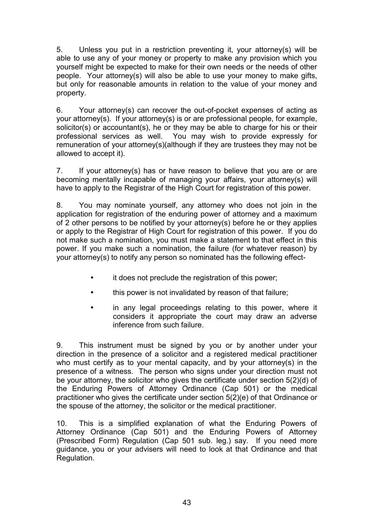5. Unless you put in a restriction preventing it, your attorney(s) will be able to use any of your money or property to make any provision which you yourself might be expected to make for their own needs or the needs of other people. Your attorney(s) will also be able to use your money to make gifts, but only for reasonable amounts in relation to the value of your money and property.

6. Your attorney(s) can recover the out-of-pocket expenses of acting as your attorney(s). If your attorney(s) is or are professional people, for example, solicitor(s) or accountant(s), he or they may be able to charge for his or their professional services as well. You may wish to provide expressly for remuneration of your attorney(s)(although if they are trustees they may not be allowed to accept it).

7. If your attorney(s) has or have reason to believe that you are or are becoming mentally incapable of managing your affairs, your attorney(s) will have to apply to the Registrar of the High Court for registration of this power.

8. You may nominate yourself, any attorney who does not join in the application for registration of the enduring power of attorney and a maximum of 2 other persons to be notified by your attorney(s) before he or they applies or apply to the Registrar of High Court for registration of this power. If you do not make such a nomination, you must make a statement to that effect in this power. If you make such a nomination, the failure (for whatever reason) by your attorney(s) to notify any person so nominated has the following effect-

- it does not preclude the registration of this power;
- this power is not invalidated by reason of that failure;
- in any legal proceedings relating to this power, where it considers it appropriate the court may draw an adverse inference from such failure.

9. This instrument must be signed by you or by another under your direction in the presence of a solicitor and a registered medical practitioner who must certify as to your mental capacity, and by your attorney(s) in the presence of a witness. The person who signs under your direction must not be your attorney, the solicitor who gives the certificate under section 5(2)(d) of the Enduring Powers of Attorney Ordinance (Cap 501) or the medical practitioner who gives the certificate under section 5(2)(e) of that Ordinance or the spouse of the attorney, the solicitor or the medical practitioner.

10. This is a simplified explanation of what the Enduring Powers of Attorney Ordinance (Cap 501) and the Enduring Powers of Attorney (Prescribed Form) Regulation (Cap 501 sub. leg.) say. If you need more guidance, you or your advisers will need to look at that Ordinance and that Regulation.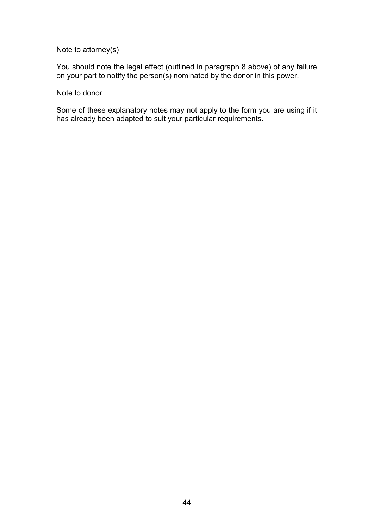# Note to attorney(s)

You should note the legal effect (outlined in paragraph 8 above) of any failure on your part to notify the person(s) nominated by the donor in this power.

Note to donor

Some of these explanatory notes may not apply to the form you are using if it has already been adapted to suit your particular requirements.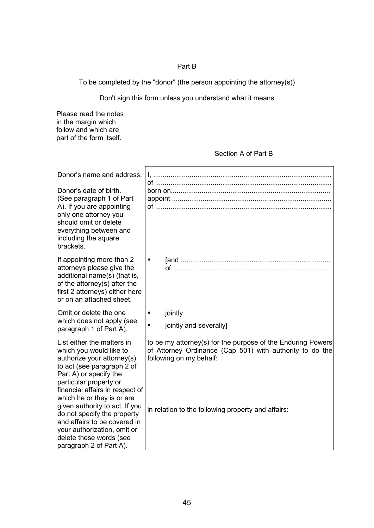# Part B

To be completed by the "donor" (the person appointing the attorney(s))

# Don't sign this form unless you understand what it means

Please read the notes in the margin which follow and which are part of the form itself.

#### Section A of Part B

| Donor's name and address.                                                                                                                                                                                                                                                                                                                                                                                                    |                                                                                                                                                                                                          |
|------------------------------------------------------------------------------------------------------------------------------------------------------------------------------------------------------------------------------------------------------------------------------------------------------------------------------------------------------------------------------------------------------------------------------|----------------------------------------------------------------------------------------------------------------------------------------------------------------------------------------------------------|
| Donor's date of birth.<br>(See paragraph 1 of Part<br>A). If you are appointing<br>only one attorney you<br>should omit or delete<br>everything between and<br>including the square<br>brackets.                                                                                                                                                                                                                             |                                                                                                                                                                                                          |
| If appointing more than 2<br>attorneys please give the<br>additional name(s) (that is,<br>of the attorney(s) after the<br>first 2 attorneys) either here<br>or on an attached sheet.                                                                                                                                                                                                                                         |                                                                                                                                                                                                          |
| Omit or delete the one<br>which does not apply (see<br>paragraph 1 of Part A).                                                                                                                                                                                                                                                                                                                                               | jointly<br>jointly and severally]                                                                                                                                                                        |
| List either the matters in<br>which you would like to<br>authorize your attorney(s)<br>to act (see paragraph 2 of<br>Part A) or specify the<br>particular property or<br>financial affairs in respect of<br>which he or they is or are<br>given authority to act. If you<br>do not specify the property<br>and affairs to be covered in<br>your authorization, omit or<br>delete these words (see<br>paragraph 2 of Part A). | to be my attorney(s) for the purpose of the Enduring Powers<br>of Attorney Ordinance (Cap 501) with authority to do the<br>following on my behalf:<br>in relation to the following property and affairs: |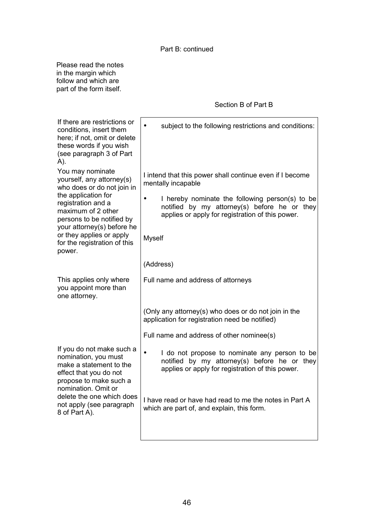#### Part B: continued

Please read the notes in the margin which follow and which are part of the form itself.

#### Section B of Part B

| If there are restrictions or<br>conditions, insert them<br>here; if not, omit or delete<br>these words if you wish<br>(see paragraph 3 of Part<br>A).                                                     | subject to the following restrictions and conditions:                                                                                                                                                                                 |
|-----------------------------------------------------------------------------------------------------------------------------------------------------------------------------------------------------------|---------------------------------------------------------------------------------------------------------------------------------------------------------------------------------------------------------------------------------------|
| You may nominate<br>yourself, any attorney(s)<br>who does or do not join in<br>the application for<br>registration and a<br>maximum of 2 other<br>persons to be notified by<br>your attorney(s) before he | I intend that this power shall continue even if I become<br>mentally incapable<br>I hereby nominate the following person(s) to be<br>notified by my attorney(s) before he or they<br>applies or apply for registration of this power. |
| or they applies or apply<br>for the registration of this<br>power.                                                                                                                                        | <b>Myself</b>                                                                                                                                                                                                                         |
|                                                                                                                                                                                                           | (Address)                                                                                                                                                                                                                             |
| This applies only where<br>you appoint more than<br>one attorney.                                                                                                                                         | Full name and address of attorneys                                                                                                                                                                                                    |
|                                                                                                                                                                                                           | (Only any attorney(s) who does or do not join in the<br>application for registration need be notified)                                                                                                                                |
|                                                                                                                                                                                                           | Full name and address of other nominee(s)                                                                                                                                                                                             |
| If you do not make such a<br>nomination, you must<br>make a statement to the<br>effect that you do not<br>propose to make such a<br>nomination. Omit or                                                   | $\bullet$<br>I do not propose to nominate any person to be<br>notified by my attorney(s) before he or they<br>applies or apply for registration of this power.                                                                        |
| delete the one which does<br>not apply (see paragraph<br>8 of Part A).                                                                                                                                    | I have read or have had read to me the notes in Part A<br>which are part of, and explain, this form.                                                                                                                                  |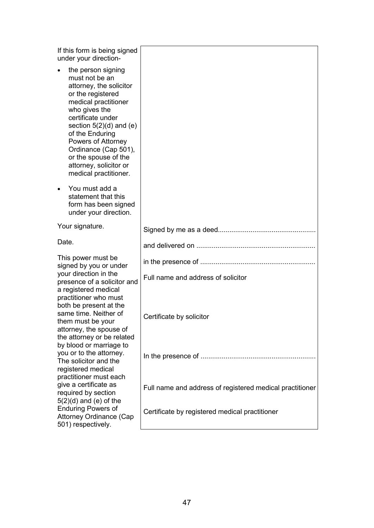| If this form is being signed<br>under your direction-                                                                                                                                                                                                                                  |                                                                                                                                                                                                                                                                                                                               |                                                          |
|----------------------------------------------------------------------------------------------------------------------------------------------------------------------------------------------------------------------------------------------------------------------------------------|-------------------------------------------------------------------------------------------------------------------------------------------------------------------------------------------------------------------------------------------------------------------------------------------------------------------------------|----------------------------------------------------------|
|                                                                                                                                                                                                                                                                                        | the person signing<br>must not be an<br>attorney, the solicitor<br>or the registered<br>medical practitioner<br>who gives the<br>certificate under<br>section $5(2)(d)$ and $(e)$<br>of the Enduring<br>Powers of Attorney<br>Ordinance (Cap 501),<br>or the spouse of the<br>attorney, solicitor or<br>medical practitioner. |                                                          |
| $\bullet$                                                                                                                                                                                                                                                                              | You must add a<br>statement that this<br>form has been signed<br>under your direction.                                                                                                                                                                                                                                        |                                                          |
|                                                                                                                                                                                                                                                                                        | Your signature.                                                                                                                                                                                                                                                                                                               |                                                          |
| Date.                                                                                                                                                                                                                                                                                  |                                                                                                                                                                                                                                                                                                                               |                                                          |
| This power must be<br>signed by you or under<br>your direction in the<br>presence of a solicitor and<br>a registered medical<br>practitioner who must<br>both be present at the<br>same time. Neither of<br>them must be your<br>attorney, the spouse of<br>the attorney or be related |                                                                                                                                                                                                                                                                                                                               | Full name and address of solicitor                       |
|                                                                                                                                                                                                                                                                                        |                                                                                                                                                                                                                                                                                                                               | Certificate by solicitor                                 |
|                                                                                                                                                                                                                                                                                        | by blood or marriage to<br>you or to the attorney.<br>The solicitor and the                                                                                                                                                                                                                                                   |                                                          |
| registered medical<br>practitioner must each<br>give a certificate as<br>required by section<br>$5(2)(d)$ and (e) of the<br><b>Enduring Powers of</b><br><b>Attorney Ordinance (Cap</b><br>501) respectively.                                                                          |                                                                                                                                                                                                                                                                                                                               | Full name and address of registered medical practitioner |
|                                                                                                                                                                                                                                                                                        |                                                                                                                                                                                                                                                                                                                               | Certificate by registered medical practitioner           |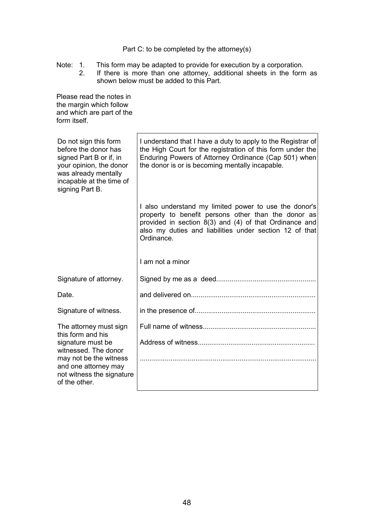Part C: to be completed by the attorney(s)

- Note: 1. This form may be adapted to provide for execution by a corporation.
	- 2. If there is more than one attorney, additional sheets in the form as shown below must be added to this Part.

Please read the notes in the margin which follow and which are part of the form itself.

| Do not sign this form<br>before the donor has<br>signed Part B or if, in<br>your opinion, the donor<br>was already mentally<br>incapable at the time of<br>signing Part B. | I understand that I have a duty to apply to the Registrar of<br>the High Court for the registration of this form under the<br>Enduring Powers of Attorney Ordinance (Cap 501) when<br>the donor is or is becoming mentally incapable.           |
|----------------------------------------------------------------------------------------------------------------------------------------------------------------------------|-------------------------------------------------------------------------------------------------------------------------------------------------------------------------------------------------------------------------------------------------|
|                                                                                                                                                                            | I also understand my limited power to use the donor's<br>property to benefit persons other than the donor as<br>provided in section 8(3) and (4) of that Ordinance and<br>also my duties and liabilities under section 12 of that<br>Ordinance. |
|                                                                                                                                                                            | I am not a minor                                                                                                                                                                                                                                |
| Signature of attorney.                                                                                                                                                     |                                                                                                                                                                                                                                                 |
| Date.                                                                                                                                                                      |                                                                                                                                                                                                                                                 |
| Signature of witness.                                                                                                                                                      |                                                                                                                                                                                                                                                 |
| The attorney must sign<br>this form and his<br>signature must be                                                                                                           |                                                                                                                                                                                                                                                 |
| witnessed. The donor<br>may not be the witness<br>and one attorney may<br>not witness the signature<br>of the other.                                                       |                                                                                                                                                                                                                                                 |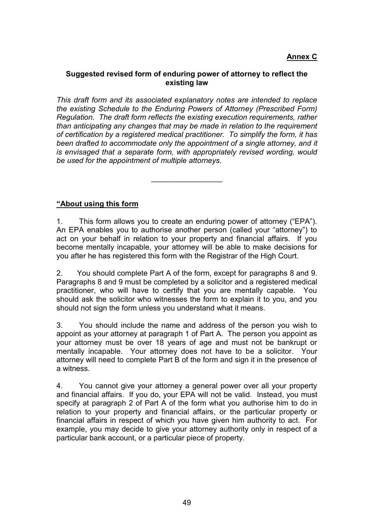### **Suggested revised form of enduring power of attorney to reflect the existing law**

*This draft form and its associated explanatory notes are intended to replace the existing Schedule to the Enduring Powers of Attorney (Prescribed Form) Regulation. The draft form reflects the existing execution requirements, rather than anticipating any changes that may be made in relation to the requirement of certification by a registered medical practitioner. To simplify the form, it has been drafted to accommodate only the appointment of a single attorney, and it is envisaged that a separate form, with appropriately revised wording, would be used for the appointment of multiple attorneys.* 

\_\_\_\_\_\_\_\_\_\_\_\_\_\_\_\_\_

# **"About using this form**

1. This form allows you to create an enduring power of attorney ("EPA"). An EPA enables you to authorise another person (called your "attorney") to act on your behalf in relation to your property and financial affairs. If you become mentally incapable, your attorney will be able to make decisions for you after he has registered this form with the Registrar of the High Court.

2. You should complete Part A of the form, except for paragraphs 8 and 9. Paragraphs 8 and 9 must be completed by a solicitor and a registered medical practitioner, who will have to certify that you are mentally capable. You should ask the solicitor who witnesses the form to explain it to you, and you should not sign the form unless you understand what it means.

3. You should include the name and address of the person you wish to appoint as your attorney at paragraph 1 of Part A. The person you appoint as your attorney must be over 18 years of age and must not be bankrupt or mentally incapable. Your attorney does not have to be a solicitor. Your attorney will need to complete Part B of the form and sign it in the presence of a witness.

4. You cannot give your attorney a general power over all your property and financial affairs. If you do, your EPA will not be valid. Instead, you must specify at paragraph 2 of Part A of the form what you authorise him to do in relation to your property and financial affairs, or the particular property or financial affairs in respect of which you have given him authority to act. For example, you may decide to give your attorney authority only in respect of a particular bank account, or a particular piece of property.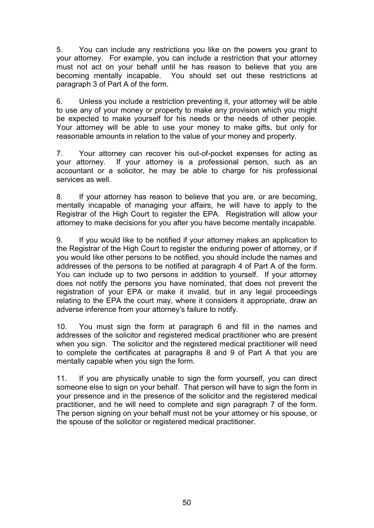5. You can include any restrictions you like on the powers you grant to your attorney. For example, you can include a restriction that your attorney must not act on your behalf until he has reason to believe that you are becoming mentally incapable. You should set out these restrictions at paragraph 3 of Part A of the form.

6. Unless you include a restriction preventing it, your attorney will be able to use any of your money or property to make any provision which you might be expected to make yourself for his needs or the needs of other people. Your attorney will be able to use your money to make gifts, but only for reasonable amounts in relation to the value of your money and property.

7. Your attorney can recover his out-of-pocket expenses for acting as your attorney. If your attorney is a professional person, such as an accountant or a solicitor, he may be able to charge for his professional services as well.

8. If your attorney has reason to believe that you are, or are becoming, mentally incapable of managing your affairs, he will have to apply to the Registrar of the High Court to register the EPA. Registration will allow your attorney to make decisions for you after you have become mentally incapable.

9. If you would like to be notified if your attorney makes an application to the Registrar of the High Court to register the enduring power of attorney, or if you would like other persons to be notified, you should include the names and addresses of the persons to be notified at paragraph 4 of Part A of the form. You can include up to two persons in addition to yourself. If your attorney does not notify the persons you have nominated, that does not prevent the registration of your EPA or make it invalid, but in any legal proceedings relating to the EPA the court may, where it considers it appropriate, draw an adverse inference from your attorney's failure to notify.

10. You must sign the form at paragraph 6 and fill in the names and addresses of the solicitor and registered medical practitioner who are present when you sign. The solicitor and the registered medical practitioner will need to complete the certificates at paragraphs 8 and 9 of Part A that you are mentally capable when you sign the form.

11. If you are physically unable to sign the form yourself, you can direct someone else to sign on your behalf. That person will have to sign the form in your presence and in the presence of the solicitor and the registered medical practitioner, and he will need to complete and sign paragraph 7 of the form. The person signing on your behalf must not be your attorney or his spouse, or the spouse of the solicitor or registered medical practitioner.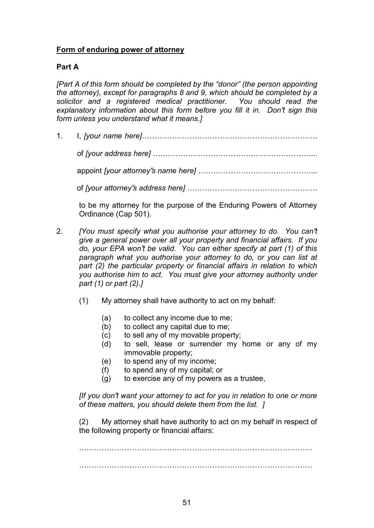# **Form of enduring power of attorney**

# **Part A**

*[Part A of this form should be completed by the "donor" (the person appointing the attorney), except for paragraphs 8 and 9, which should be completed by a solicitor and a registered medical practitioner. You should read the explanatory information about this form before you fill it in. Don"t sign this form unless you understand what it means.]* 

1. I, *[your name here]*…………………………………………………………….

of *[your address here]* ………………………………………………………...

appoint *[your attorney"s name here]* ………………………………………...

of *[your attorney"s address here]* …………………………………………….

 to be my attorney for the purpose of the Enduring Powers of Attorney Ordinance (Cap 501).

- 2. *[You must specify what you authorise your attorney to do. You can"t give a general power over all your property and financial affairs. If you do, your EPA won"t be valid. You can either specify at part (1) of this paragraph what you authorise your attorney to do, or you can list at part (2) the particular property or financial affairs in relation to which you authorise him to act. You must give your attorney authority under part (1) or part (2).]* 
	- (1) My attorney shall have authority to act on my behalf:
		- (a) to collect any income due to me;
		- (b) to collect any capital due to me;
		- (c) to sell any of my movable property;
		- (d) to sell, lease or surrender my home or any of my immovable property;
		- (e) to spend any of my income;
		- (f) to spend any of my capital; or
		- (g) to exercise any of my powers as a trustee,

*[If you don"t want your attorney to act for you in relation to one or more of these matters, you should delete them from the list. ]* 

 (2) My attorney shall have authority to act on my behalf in respect of the following property or financial affairs:

 ………………………………………………………………………………… …………………………………………………………………………………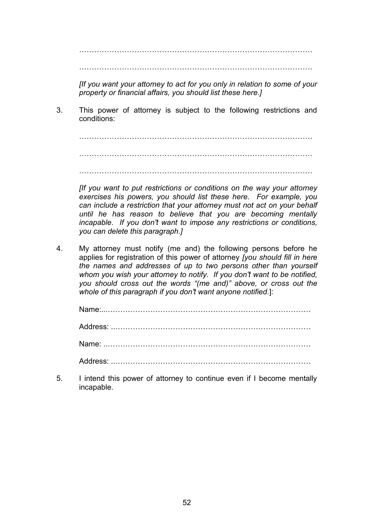. The same state of the same state of the same state of the same state of the same state of the same state of the same state of the same state of the same state of the same state of the same state of the same state of the

*[If you want your attorney to act for you only in relation to some of your property or financial affairs, you should list these here.]*

3. This power of attorney is subject to the following restrictions and conditions:

 ………………………………………………………………………………… …………………………………………………………………………………

…………………………………………………………………………………

*[If you want to put restrictions or conditions on the way your attorney exercises his powers, you should list these here. For example, you can include a restriction that your attorney must not act on your behalf until he has reason to believe that you are becoming mentally incapable*. *If you don"t want to impose any restrictions or conditions, you can delete this paragraph.]*

4. My attorney must notify (me and) the following persons before he applies for registration of this power of attorney *[you should fill in here the names and addresses of up to two persons other than yourself whom you wish your attorney to notify. If you don"t want to be notified, you should cross out the words "(me and)" above, or cross out the whole of this paragraph if you don"t want anyone notified.*]:

Name:...………………………………………………………………………

Address: ..……………………………………………………………………

Name: ..………………………………………………………………………

Address: ..……………………………………………………………………

5. I intend this power of attorney to continue even if I become mentally incapable.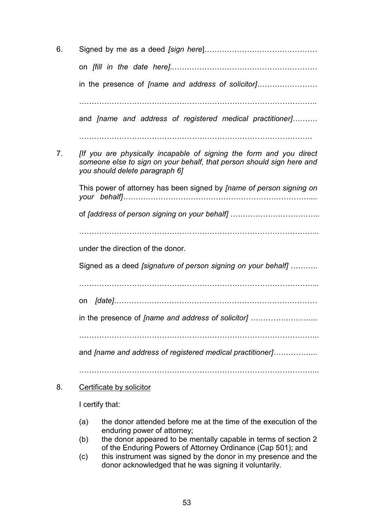| 6. |     |                                                                                                                                                                                |
|----|-----|--------------------------------------------------------------------------------------------------------------------------------------------------------------------------------|
|    |     |                                                                                                                                                                                |
|    |     | in the presence of [name and address of solicitor]                                                                                                                             |
|    |     |                                                                                                                                                                                |
|    |     | and [name and address of registered medical practitioner]                                                                                                                      |
|    |     |                                                                                                                                                                                |
| 7. |     | [If you are physically incapable of signing the form and you direct<br>someone else to sign on your behalf, that person should sign here and<br>you should delete paragraph 6] |
|    |     | This power of attorney has been signed by <i>[name of person signing on</i>                                                                                                    |
|    |     |                                                                                                                                                                                |
|    |     |                                                                                                                                                                                |
|    |     | under the direction of the donor.                                                                                                                                              |
|    |     | Signed as a deed [signature of person signing on your behalf]                                                                                                                  |
|    |     |                                                                                                                                                                                |
|    |     |                                                                                                                                                                                |
|    |     | in the presence of [name and address of solicitor]                                                                                                                             |
|    |     |                                                                                                                                                                                |
|    |     | and <i>[name and address of registered medical practitioner]</i>                                                                                                               |
|    |     |                                                                                                                                                                                |
| 8. |     | Certificate by solicitor                                                                                                                                                       |
|    |     | I certify that:                                                                                                                                                                |
|    | (a) | the donor attended before me at the time of the execution of the<br>enduring power of attorney;                                                                                |

- (b) the donor appeared to be mentally capable in terms of section 2 of the Enduring Powers of Attorney Ordinance (Cap 501); and
- (c) this instrument was signed by the donor in my presence and the donor acknowledged that he was signing it voluntarily.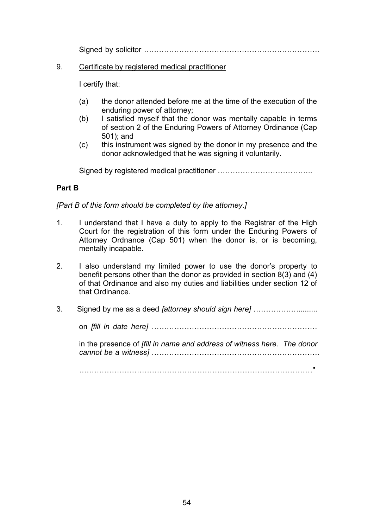Signed by solicitor …………………………………………………………….

#### 9. Certificate by registered medical practitioner

I certify that:

- (a) the donor attended before me at the time of the execution of the enduring power of attorney;
- (b) I satisfied myself that the donor was mentally capable in terms of section 2 of the Enduring Powers of Attorney Ordinance (Cap 501); and
- (c) this instrument was signed by the donor in my presence and the donor acknowledged that he was signing it voluntarily.

Signed by registered medical practitioner ………………………………..

#### **Part B**

*[Part B of this form should be completed by the attorney.]*

- 1. I understand that I have a duty to apply to the Registrar of the High Court for the registration of this form under the Enduring Powers of Attorney Ordnance (Cap 501) when the donor is, or is becoming, mentally incapable.
- 2. I also understand my limited power to use the donor's property to benefit persons other than the donor as provided in section 8(3) and (4) of that Ordinance and also my duties and liabilities under section 12 of that Ordinance.
- 3. Signed by me as a deed *[attorney should sign here]* ………………......... on *[fill in date here]* ………………………………………………………… in the presence of *[fill in name and address of witness here. The donor cannot be a witness]* …………………………………………………………. …………………………………………………………………………………"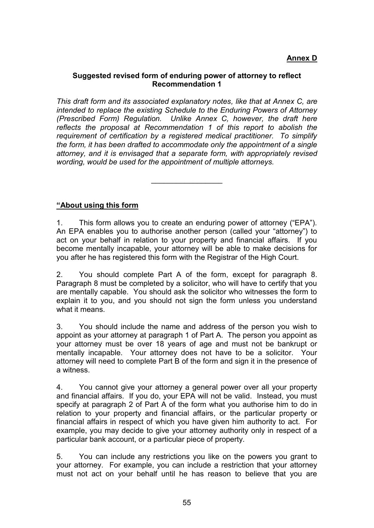#### **Suggested revised form of enduring power of attorney to reflect Recommendation 1**

*This draft form and its associated explanatory notes, like that at Annex C, are intended to replace the existing Schedule to the Enduring Powers of Attorney (Prescribed Form) Regulation. Unlike Annex C, however, the draft here reflects the proposal at Recommendation 1 of this report to abolish the requirement of certification by a registered medical practitioner. To simplify the form, it has been drafted to accommodate only the appointment of a single attorney, and it is envisaged that a separate form, with appropriately revised wording, would be used for the appointment of multiple attorneys.* 

\_\_\_\_\_\_\_\_\_\_\_\_\_\_\_\_\_

# **"About using this form**

1. This form allows you to create an enduring power of attorney ("EPA"). An EPA enables you to authorise another person (called your "attorney") to act on your behalf in relation to your property and financial affairs. If you become mentally incapable, your attorney will be able to make decisions for you after he has registered this form with the Registrar of the High Court.

2. You should complete Part A of the form, except for paragraph 8. Paragraph 8 must be completed by a solicitor, who will have to certify that you are mentally capable. You should ask the solicitor who witnesses the form to explain it to you, and you should not sign the form unless you understand what it means.

3. You should include the name and address of the person you wish to appoint as your attorney at paragraph 1 of Part A. The person you appoint as your attorney must be over 18 years of age and must not be bankrupt or mentally incapable. Your attorney does not have to be a solicitor. Your attorney will need to complete Part B of the form and sign it in the presence of a witness.

4. You cannot give your attorney a general power over all your property and financial affairs. If you do, your EPA will not be valid. Instead, you must specify at paragraph 2 of Part A of the form what you authorise him to do in relation to your property and financial affairs, or the particular property or financial affairs in respect of which you have given him authority to act. For example, you may decide to give your attorney authority only in respect of a particular bank account, or a particular piece of property.

5. You can include any restrictions you like on the powers you grant to your attorney. For example, you can include a restriction that your attorney must not act on your behalf until he has reason to believe that you are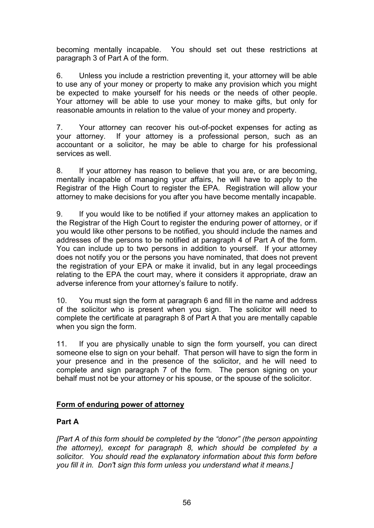becoming mentally incapable. You should set out these restrictions at paragraph 3 of Part A of the form.

6. Unless you include a restriction preventing it, your attorney will be able to use any of your money or property to make any provision which you might be expected to make yourself for his needs or the needs of other people. Your attorney will be able to use your money to make gifts, but only for reasonable amounts in relation to the value of your money and property.

7. Your attorney can recover his out-of-pocket expenses for acting as your attorney. If your attorney is a professional person, such as an accountant or a solicitor, he may be able to charge for his professional services as well

8. If your attorney has reason to believe that you are, or are becoming, mentally incapable of managing your affairs, he will have to apply to the Registrar of the High Court to register the EPA. Registration will allow your attorney to make decisions for you after you have become mentally incapable.

9. If you would like to be notified if your attorney makes an application to the Registrar of the High Court to register the enduring power of attorney, or if you would like other persons to be notified, you should include the names and addresses of the persons to be notified at paragraph 4 of Part A of the form. You can include up to two persons in addition to yourself. If your attorney does not notify you or the persons you have nominated, that does not prevent the registration of your EPA or make it invalid, but in any legal proceedings relating to the EPA the court may, where it considers it appropriate, draw an adverse inference from your attorney's failure to notify.

10. You must sign the form at paragraph 6 and fill in the name and address of the solicitor who is present when you sign. The solicitor will need to complete the certificate at paragraph 8 of Part A that you are mentally capable when you sign the form.

11. If you are physically unable to sign the form yourself, you can direct someone else to sign on your behalf. That person will have to sign the form in your presence and in the presence of the solicitor, and he will need to complete and sign paragraph 7 of the form. The person signing on your behalf must not be your attorney or his spouse, or the spouse of the solicitor.

# **Form of enduring power of attorney**

#### **Part A**

*[Part A of this form should be completed by the "donor" (the person appointing the attorney), except for paragraph 8, which should be completed by a solicitor. You should read the explanatory information about this form before you fill it in. Don"t sign this form unless you understand what it means.]*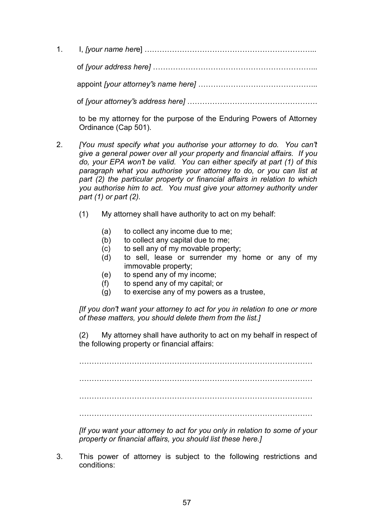1. I, *[your name her*e] …………………………………………………………... of *[your address here]* ………………………………………………………... appoint *[your attorney"s name here]* ………………………………………... of *[your attorney"s address here]* …………………………………………….

 to be my attorney for the purpose of the Enduring Powers of Attorney Ordinance (Cap 501).

- 2. *[You must specify what you authorise your attorney to do. You can"t give a general power over all your property and financial affairs. If you do, your EPA won"t be valid. You can either specify at part (1) of this paragraph what you authorise your attorney to do, or you can list at part (2) the particular property or financial affairs in relation to which you authorise him to act. You must give your attorney authority under part (1) or part (2).* 
	- (1) My attorney shall have authority to act on my behalf:
		- (a) to collect any income due to me;
		- (b) to collect any capital due to me;
		- (c) to sell any of my movable property;
		- (d) to sell, lease or surrender my home or any of my immovable property;
		- (e) to spend any of my income;
		- (f) to spend any of my capital; or
		- (g) to exercise any of my powers as a trustee,

*[If you don"t want your attorney to act for you in relation to one or more of these matters, you should delete them from the list.]* 

 (2) My attorney shall have authority to act on my behalf in respect of the following property or financial affairs:

 ………………………………………………………………………………… ………………………………………………………………………………… ………………………………………………………………………………… …………………………………………………………………………………

*[If you want your attorney to act for you only in relation to some of your property or financial affairs, you should list these here.]*

3. This power of attorney is subject to the following restrictions and conditions: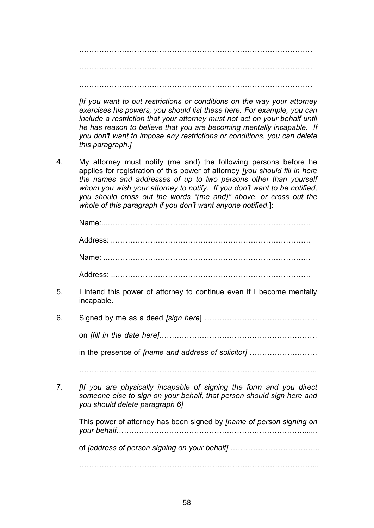………………………………………………………………………………… …………………………………………………………………………………

…………………………………………………………………………………

*[If you want to put restrictions or conditions on the way your attorney exercises his powers, you should list these here. For example, you can include a restriction that your attorney must not act on your behalf until he has reason to believe that you are becoming mentally incapable. If you don"t want to impose any restrictions or conditions, you can delete this paragraph.]*

4. My attorney must notify (me and) the following persons before he applies for registration of this power of attorney *[you should fill in here the names and addresses of up to two persons other than yourself whom you wish your attorney to notify. If you don"t want to be notified, you should cross out the words "(me and)" above, or cross out the whole of this paragraph if you don"t want anyone notified.*]:

| 5. | I intend this power of attorney to continue even if I become mentally<br>incapable.                                                                                            |
|----|--------------------------------------------------------------------------------------------------------------------------------------------------------------------------------|
| 6. |                                                                                                                                                                                |
|    |                                                                                                                                                                                |
|    | in the presence of [name and address of solicitor]                                                                                                                             |
|    |                                                                                                                                                                                |
| 7. | [If you are physically incapable of signing the form and you direct<br>someone else to sign on your behalf, that person should sign here and<br>you should delete paragraph 6] |
|    | This power of attorney has been signed by [name of person signing on                                                                                                           |

*your behalf.………………………………………………………………….....*

of *[address of person signing on your behalf]* ……………………………...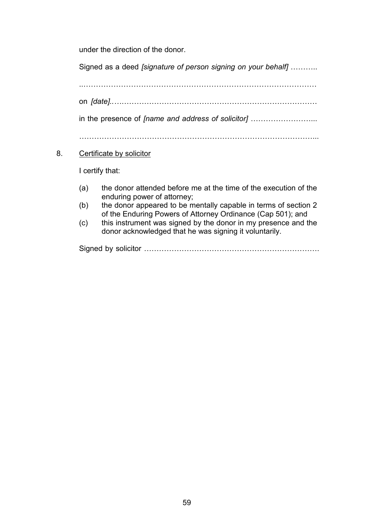under the direction of the donor.

Signed as a deed *[signature of person signing on your behalf]* ………..

..…………………………………………………………………………………

on *[date]..…*……………………………………………………………………

in the presence of *[name and address of solicitor]* ……………………...

…………………………………………………………………………………...

# 8. Certificate by solicitor

I certify that:

- (a) the donor attended before me at the time of the execution of the enduring power of attorney;
- (b) the donor appeared to be mentally capable in terms of section 2 of the Enduring Powers of Attorney Ordinance (Cap 501); and
- (c) this instrument was signed by the donor in my presence and the donor acknowledged that he was signing it voluntarily.

|--|--|